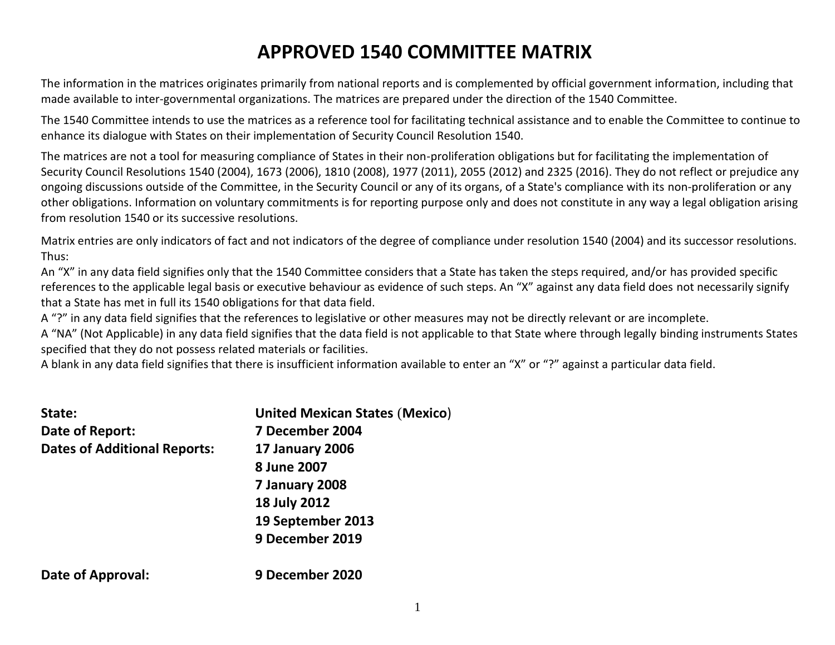# **APPROVED 1540 COMMITTEE MATRIX**

The information in the matrices originates primarily from national reports and is complemented by official government information, including that made available to inter-governmental organizations. The matrices are prepared under the direction of the 1540 Committee.

The 1540 Committee intends to use the matrices as a reference tool for facilitating technical assistance and to enable the Committee to continue to enhance its dialogue with States on their implementation of Security Council Resolution 1540.

The matrices are not a tool for measuring compliance of States in their non-proliferation obligations but for facilitating the implementation of Security Council Resolutions 1540 (2004), 1673 (2006), 1810 (2008), 1977 (2011), 2055 (2012) and 2325 (2016). They do not reflect or prejudice any ongoing discussions outside of the Committee, in the Security Council or any of its organs, of a State's compliance with its non-proliferation or any other obligations. Information on voluntary commitments is for reporting purpose only and does not constitute in any way a legal obligation arising from resolution 1540 or its successive resolutions.

Matrix entries are only indicators of fact and not indicators of the degree of compliance under resolution 1540 (2004) and its successor resolutions. Thus:

An "X" in any data field signifies only that the 1540 Committee considers that a State has taken the steps required, and/or has provided specific references to the applicable legal basis or executive behaviour as evidence of such steps. An "X" against any data field does not necessarily signify that a State has met in full its 1540 obligations for that data field.

A "?" in any data field signifies that the references to legislative or other measures may not be directly relevant or are incomplete.

A "NA" (Not Applicable) in any data field signifies that the data field is not applicable to that State where through legally binding instruments States specified that they do not possess related materials or facilities.

A blank in any data field signifies that there is insufficient information available to enter an "X" or "?" against a particular data field.

| State:<br>Date of Report:           | <b>United Mexican States (Mexico)</b><br>7 December 2004 |
|-------------------------------------|----------------------------------------------------------|
| <b>Dates of Additional Reports:</b> | <b>17 January 2006</b>                                   |
|                                     | 8 June 2007                                              |
|                                     | 7 January 2008                                           |
|                                     | <b>18 July 2012</b>                                      |
|                                     | 19 September 2013                                        |
|                                     | 9 December 2019                                          |
| Date of Approval:                   | 9 December 2020                                          |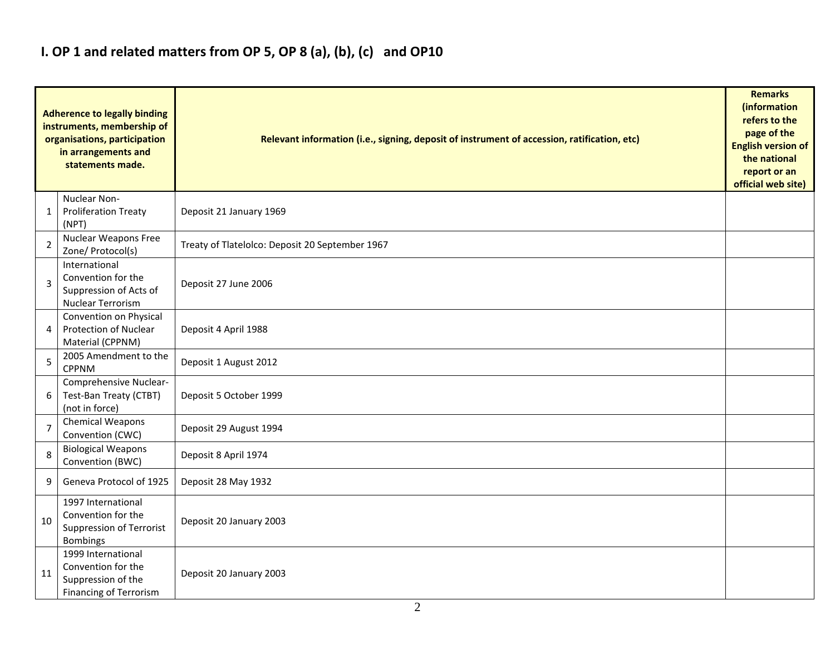## **I. OP 1 and related matters from OP 5, OP 8 (a), (b), (c) and OP10**

|                | <b>Adherence to legally binding</b><br>instruments, membership of<br>organisations, participation<br>in arrangements and<br>statements made. | Relevant information (i.e., signing, deposit of instrument of accession, ratification, etc) |  |  |  |  |  |  |  |  |
|----------------|----------------------------------------------------------------------------------------------------------------------------------------------|---------------------------------------------------------------------------------------------|--|--|--|--|--|--|--|--|
| 1              | Nuclear Non-<br><b>Proliferation Treaty</b><br>(NPT)                                                                                         | Deposit 21 January 1969                                                                     |  |  |  |  |  |  |  |  |
| $\overline{2}$ | <b>Nuclear Weapons Free</b><br>Zone/ Protocol(s)                                                                                             | Treaty of Tlatelolco: Deposit 20 September 1967                                             |  |  |  |  |  |  |  |  |
| 3              | International<br>Convention for the<br>Suppression of Acts of<br>Nuclear Terrorism                                                           | Deposit 27 June 2006                                                                        |  |  |  |  |  |  |  |  |
| 4              | Convention on Physical<br><b>Protection of Nuclear</b><br>Material (CPPNM)                                                                   | Deposit 4 April 1988                                                                        |  |  |  |  |  |  |  |  |
| 5              | 2005 Amendment to the<br><b>CPPNM</b>                                                                                                        | Deposit 1 August 2012                                                                       |  |  |  |  |  |  |  |  |
| 6              | Comprehensive Nuclear-<br>Test-Ban Treaty (CTBT)<br>(not in force)                                                                           | Deposit 5 October 1999                                                                      |  |  |  |  |  |  |  |  |
| $\overline{7}$ | Chemical Weapons<br>Convention (CWC)                                                                                                         | Deposit 29 August 1994                                                                      |  |  |  |  |  |  |  |  |
| 8              | <b>Biological Weapons</b><br>Convention (BWC)                                                                                                | Deposit 8 April 1974                                                                        |  |  |  |  |  |  |  |  |
| 9              | Geneva Protocol of 1925                                                                                                                      | Deposit 28 May 1932                                                                         |  |  |  |  |  |  |  |  |
| 10             | 1997 International<br>Convention for the<br>Suppression of Terrorist<br>Bombings                                                             | Deposit 20 January 2003                                                                     |  |  |  |  |  |  |  |  |
| 11             | 1999 International<br>Convention for the<br>Suppression of the<br><b>Financing of Terrorism</b>                                              | Deposit 20 January 2003                                                                     |  |  |  |  |  |  |  |  |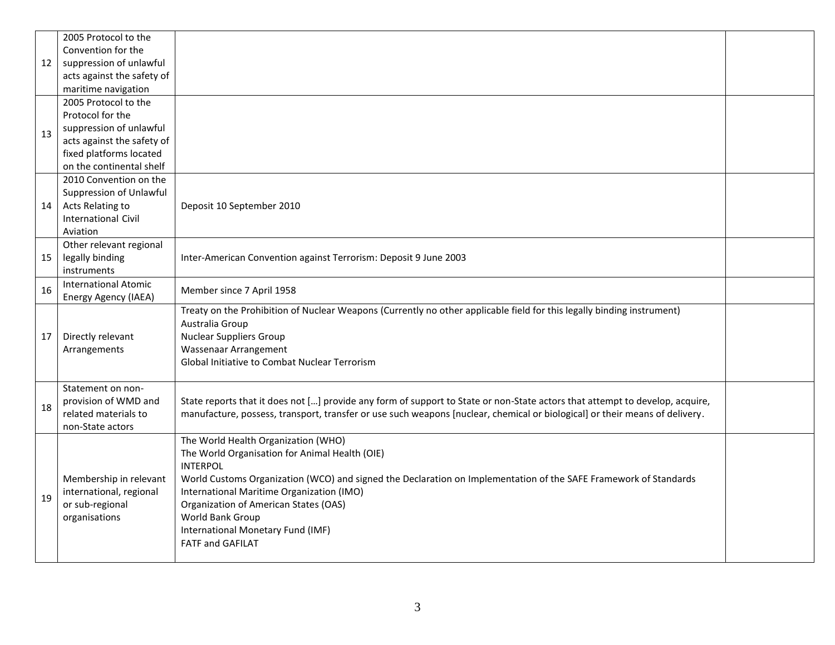|    | 2005 Protocol to the        |                                                                                                                              |  |
|----|-----------------------------|------------------------------------------------------------------------------------------------------------------------------|--|
|    | Convention for the          |                                                                                                                              |  |
| 12 | suppression of unlawful     |                                                                                                                              |  |
|    | acts against the safety of  |                                                                                                                              |  |
|    | maritime navigation         |                                                                                                                              |  |
|    | 2005 Protocol to the        |                                                                                                                              |  |
|    | Protocol for the            |                                                                                                                              |  |
| 13 | suppression of unlawful     |                                                                                                                              |  |
|    | acts against the safety of  |                                                                                                                              |  |
|    | fixed platforms located     |                                                                                                                              |  |
|    | on the continental shelf    |                                                                                                                              |  |
|    | 2010 Convention on the      |                                                                                                                              |  |
|    | Suppression of Unlawful     |                                                                                                                              |  |
| 14 | Acts Relating to            | Deposit 10 September 2010                                                                                                    |  |
|    | <b>International Civil</b>  |                                                                                                                              |  |
|    | Aviation                    |                                                                                                                              |  |
|    | Other relevant regional     |                                                                                                                              |  |
| 15 | legally binding             | Inter-American Convention against Terrorism: Deposit 9 June 2003                                                             |  |
|    | instruments                 |                                                                                                                              |  |
| 16 | <b>International Atomic</b> | Member since 7 April 1958                                                                                                    |  |
|    | Energy Agency (IAEA)        |                                                                                                                              |  |
|    |                             | Treaty on the Prohibition of Nuclear Weapons (Currently no other applicable field for this legally binding instrument)       |  |
|    |                             | Australia Group                                                                                                              |  |
| 17 | Directly relevant           | <b>Nuclear Suppliers Group</b>                                                                                               |  |
|    | Arrangements                | Wassenaar Arrangement                                                                                                        |  |
|    |                             | <b>Global Initiative to Combat Nuclear Terrorism</b>                                                                         |  |
|    |                             |                                                                                                                              |  |
|    | Statement on non-           |                                                                                                                              |  |
| 18 | provision of WMD and        | State reports that it does not [] provide any form of support to State or non-State actors that attempt to develop, acquire, |  |
|    | related materials to        | manufacture, possess, transport, transfer or use such weapons [nuclear, chemical or biological] or their means of delivery.  |  |
|    | non-State actors            |                                                                                                                              |  |
|    |                             | The World Health Organization (WHO)<br>The World Organisation for Animal Health (OIE)                                        |  |
|    |                             | <b>INTERPOL</b>                                                                                                              |  |
|    | Membership in relevant      | World Customs Organization (WCO) and signed the Declaration on Implementation of the SAFE Framework of Standards             |  |
|    | international, regional     | International Maritime Organization (IMO)                                                                                    |  |
| 19 | or sub-regional             |                                                                                                                              |  |
|    | organisations               | <b>Organization of American States (OAS)</b><br>World Bank Group                                                             |  |
|    |                             | International Monetary Fund (IMF)                                                                                            |  |
|    |                             | <b>FATF and GAFILAT</b>                                                                                                      |  |
|    |                             |                                                                                                                              |  |
|    |                             |                                                                                                                              |  |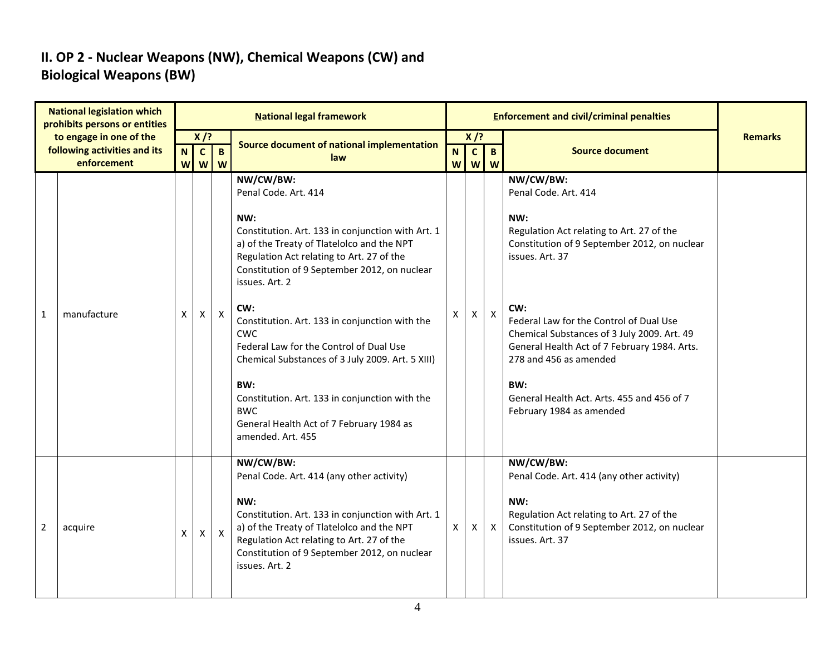### **II. OP 2 - Nuclear Weapons (NW), Chemical Weapons (CW) and Biological Weapons (BW)**

|                | <b>National legislation which</b><br>prohibits persons or entities     |                  |                             |                   | <b>National legal framework</b>                                                                                                                                                                                                                                                                                                                                                                                                                                                                                                                                          |                  |                             |                   |                                                                                                                                                                                                                                                                                                                                                                                                                      |                |
|----------------|------------------------------------------------------------------------|------------------|-----------------------------|-------------------|--------------------------------------------------------------------------------------------------------------------------------------------------------------------------------------------------------------------------------------------------------------------------------------------------------------------------------------------------------------------------------------------------------------------------------------------------------------------------------------------------------------------------------------------------------------------------|------------------|-----------------------------|-------------------|----------------------------------------------------------------------------------------------------------------------------------------------------------------------------------------------------------------------------------------------------------------------------------------------------------------------------------------------------------------------------------------------------------------------|----------------|
|                | to engage in one of the<br>following activities and its<br>enforcement | $\mathbf N$<br>W | $X$ /?<br>$\mathbf{c}$<br>W | $\mathbf{B}$<br>W | Source document of national implementation<br>law                                                                                                                                                                                                                                                                                                                                                                                                                                                                                                                        | $\mathbf N$<br>W | $X$ /?<br>$\mathbf{c}$<br>W | $\mathbf{B}$<br>W | <b>Source document</b>                                                                                                                                                                                                                                                                                                                                                                                               | <b>Remarks</b> |
| 1              | manufacture                                                            | X                | X                           | $\mathsf{X}$      | NW/CW/BW:<br>Penal Code. Art. 414<br>NW:<br>Constitution. Art. 133 in conjunction with Art. 1<br>a) of the Treaty of Tlatelolco and the NPT<br>Regulation Act relating to Art. 27 of the<br>Constitution of 9 September 2012, on nuclear<br>issues. Art. 2<br>CW:<br>Constitution. Art. 133 in conjunction with the<br><b>CWC</b><br>Federal Law for the Control of Dual Use<br>Chemical Substances of 3 July 2009. Art. 5 XIII)<br>BW:<br>Constitution. Art. 133 in conjunction with the<br><b>BWC</b><br>General Health Act of 7 February 1984 as<br>amended. Art. 455 | X                | X                           | $\mathsf{X}$      | NW/CW/BW:<br>Penal Code. Art. 414<br>NW:<br>Regulation Act relating to Art. 27 of the<br>Constitution of 9 September 2012, on nuclear<br>issues. Art. 37<br>CW:<br>Federal Law for the Control of Dual Use<br>Chemical Substances of 3 July 2009. Art. 49<br>General Health Act of 7 February 1984. Arts.<br>278 and 456 as amended<br>BW:<br>General Health Act. Arts. 455 and 456 of 7<br>February 1984 as amended |                |
| $\overline{2}$ | acquire                                                                | X                | $\mathsf{X}$                | $\mathsf{X}$      | NW/CW/BW:<br>Penal Code. Art. 414 (any other activity)<br>NW:<br>Constitution. Art. 133 in conjunction with Art. 1<br>a) of the Treaty of Tlatelolco and the NPT<br>Regulation Act relating to Art. 27 of the<br>Constitution of 9 September 2012, on nuclear<br>issues. Art. 2                                                                                                                                                                                                                                                                                          | X                | Χ                           | $\mathsf{X}$      | NW/CW/BW:<br>Penal Code. Art. 414 (any other activity)<br>NW:<br>Regulation Act relating to Art. 27 of the<br>Constitution of 9 September 2012, on nuclear<br>issues. Art. 37                                                                                                                                                                                                                                        |                |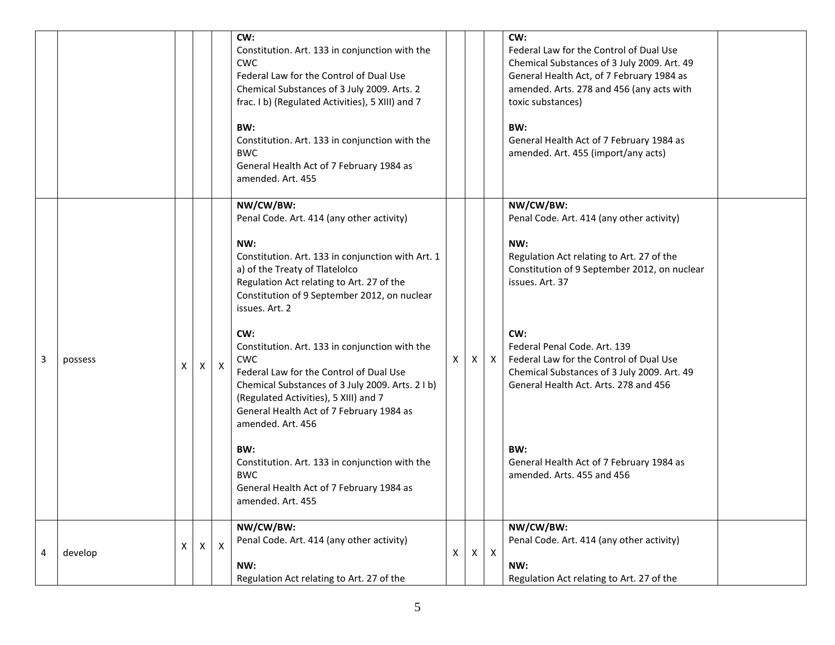|   |         |   |              |   | CW:<br>Constitution. Art. 133 in conjunction with the<br><b>CWC</b><br>Federal Law for the Control of Dual Use<br>Chemical Substances of 3 July 2009. Arts. 2<br>frac. I b) (Regulated Activities), 5 XIII) and 7<br>BW:<br>Constitution. Art. 133 in conjunction with the<br><b>BWC</b><br>General Health Act of 7 February 1984 as<br>amended. Art. 455                                                                                                                                                                                                                                                                                                                            |   |   |              | CW:<br>Federal Law for the Control of Dual Use<br>Chemical Substances of 3 July 2009. Art. 49<br>General Health Act, of 7 February 1984 as<br>amended. Arts. 278 and 456 (any acts with<br>toxic substances)<br>BW:<br>General Health Act of 7 February 1984 as<br>amended. Art. 455 (import/any acts)                                                                                                                                   |  |
|---|---------|---|--------------|---|--------------------------------------------------------------------------------------------------------------------------------------------------------------------------------------------------------------------------------------------------------------------------------------------------------------------------------------------------------------------------------------------------------------------------------------------------------------------------------------------------------------------------------------------------------------------------------------------------------------------------------------------------------------------------------------|---|---|--------------|------------------------------------------------------------------------------------------------------------------------------------------------------------------------------------------------------------------------------------------------------------------------------------------------------------------------------------------------------------------------------------------------------------------------------------------|--|
| 3 | possess | X | Χ            | X | NW/CW/BW:<br>Penal Code. Art. 414 (any other activity)<br>NW:<br>Constitution. Art. 133 in conjunction with Art. 1<br>a) of the Treaty of Tlatelolco<br>Regulation Act relating to Art. 27 of the<br>Constitution of 9 September 2012, on nuclear<br>issues. Art. 2<br>CW:<br>Constitution. Art. 133 in conjunction with the<br>CWC<br>Federal Law for the Control of Dual Use<br>Chemical Substances of 3 July 2009. Arts. 2 I b)<br>(Regulated Activities), 5 XIII) and 7<br>General Health Act of 7 February 1984 as<br>amended. Art. 456<br>BW:<br>Constitution. Art. 133 in conjunction with the<br><b>BWC</b><br>General Health Act of 7 February 1984 as<br>amended. Art. 455 | X | X | $\mathsf{X}$ | NW/CW/BW:<br>Penal Code. Art. 414 (any other activity)<br>NW:<br>Regulation Act relating to Art. 27 of the<br>Constitution of 9 September 2012, on nuclear<br>issues. Art. 37<br>CW:<br>Federal Penal Code, Art. 139<br>Federal Law for the Control of Dual Use<br>Chemical Substances of 3 July 2009. Art. 49<br>General Health Act. Arts. 278 and 456<br>BW:<br>General Health Act of 7 February 1984 as<br>amended. Arts. 455 and 456 |  |
| 4 | develop | X | $\mathsf{X}$ | X | NW/CW/BW:<br>Penal Code. Art. 414 (any other activity)<br>NW:<br>Regulation Act relating to Art. 27 of the                                                                                                                                                                                                                                                                                                                                                                                                                                                                                                                                                                           | X | X | $\mathsf{X}$ | NW/CW/BW:<br>Penal Code. Art. 414 (any other activity)<br>NW:<br>Regulation Act relating to Art. 27 of the                                                                                                                                                                                                                                                                                                                               |  |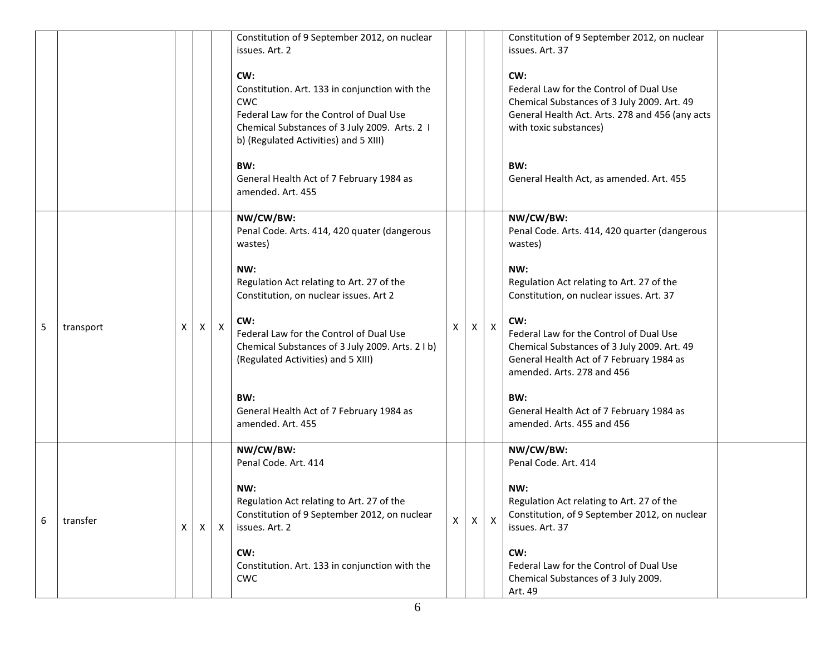|   |           |              |              |              | Constitution of 9 September 2012, on nuclear<br>issues. Art. 2                                                                                                                                           |              |          |              | Constitution of 9 September 2012, on nuclear<br>issues. Art. 37                                                                                                            |  |
|---|-----------|--------------|--------------|--------------|----------------------------------------------------------------------------------------------------------------------------------------------------------------------------------------------------------|--------------|----------|--------------|----------------------------------------------------------------------------------------------------------------------------------------------------------------------------|--|
|   |           |              |              |              | CW:<br>Constitution. Art. 133 in conjunction with the<br><b>CWC</b><br>Federal Law for the Control of Dual Use<br>Chemical Substances of 3 July 2009. Arts. 2 I<br>b) (Regulated Activities) and 5 XIII) |              |          |              | CW:<br>Federal Law for the Control of Dual Use<br>Chemical Substances of 3 July 2009. Art. 49<br>General Health Act. Arts. 278 and 456 (any acts<br>with toxic substances) |  |
|   |           |              |              |              | BW:<br>General Health Act of 7 February 1984 as<br>amended. Art. 455                                                                                                                                     |              |          |              | BW:<br>General Health Act, as amended. Art. 455                                                                                                                            |  |
|   |           |              |              |              | NW/CW/BW:<br>Penal Code. Arts. 414, 420 quater (dangerous<br>wastes)                                                                                                                                     |              |          |              | NW/CW/BW:<br>Penal Code. Arts. 414, 420 quarter (dangerous<br>wastes)                                                                                                      |  |
|   |           |              |              |              | NW:<br>Regulation Act relating to Art. 27 of the<br>Constitution, on nuclear issues. Art 2                                                                                                               |              |          |              | NW:<br>Regulation Act relating to Art. 27 of the<br>Constitution, on nuclear issues. Art. 37                                                                               |  |
| 5 | transport | X            | X            | $\mathsf{X}$ | CW:<br>Federal Law for the Control of Dual Use<br>Chemical Substances of 3 July 2009. Arts. 2 I b)<br>(Regulated Activities) and 5 XIII)                                                                 | X            | X        | Χ            | CW:<br>Federal Law for the Control of Dual Use<br>Chemical Substances of 3 July 2009. Art. 49<br>General Health Act of 7 February 1984 as<br>amended. Arts. 278 and 456    |  |
|   |           |              |              |              | BW:<br>General Health Act of 7 February 1984 as<br>amended. Art. 455                                                                                                                                     |              |          |              | BW:<br>General Health Act of 7 February 1984 as<br>amended. Arts. 455 and 456                                                                                              |  |
|   |           |              |              |              | NW/CW/BW:<br>Penal Code. Art. 414                                                                                                                                                                        |              |          |              | NW/CW/BW:<br>Penal Code. Art. 414                                                                                                                                          |  |
| 6 | transfer  | $\mathsf{X}$ | $\mathsf{X}$ | X            | NW:<br>Regulation Act relating to Art. 27 of the<br>Constitution of 9 September 2012, on nuclear<br>issues. Art. 2                                                                                       | $\mathsf{X}$ | $\times$ | $\mathsf{X}$ | NW:<br>Regulation Act relating to Art. 27 of the<br>Constitution, of 9 September 2012, on nuclear<br>issues. Art. 37                                                       |  |
|   |           |              |              |              | CW:<br>Constitution. Art. 133 in conjunction with the<br><b>CWC</b>                                                                                                                                      |              |          |              | CW:<br>Federal Law for the Control of Dual Use<br>Chemical Substances of 3 July 2009.<br>Art. 49                                                                           |  |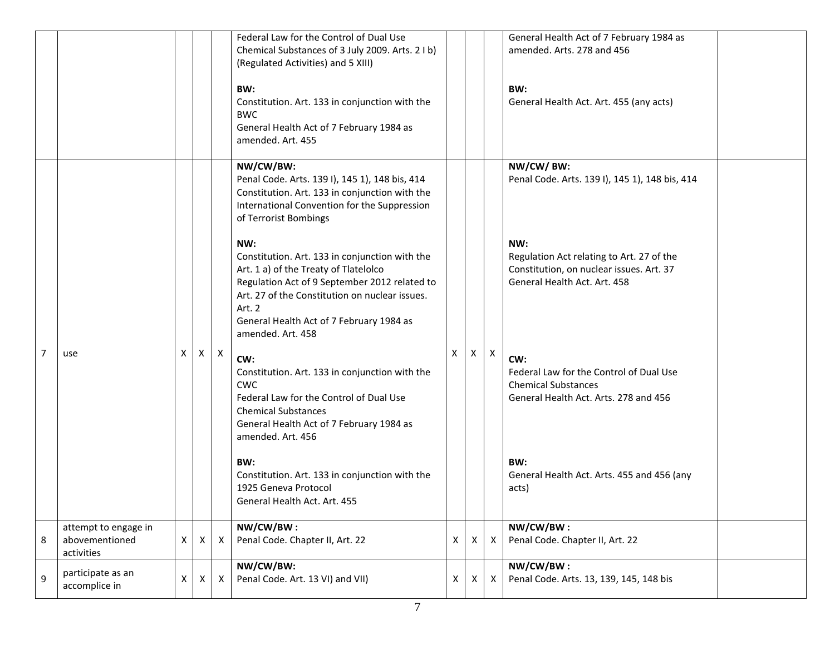|                |                                                      |              |   |             | Federal Law for the Control of Dual Use<br>Chemical Substances of 3 July 2009. Arts. 2 I b)<br>(Regulated Activities) and 5 XIII)<br>BW:<br>Constitution. Art. 133 in conjunction with the<br><b>BWC</b><br>General Health Act of 7 February 1984 as<br>amended. Art. 455    |              |                |                           | General Health Act of 7 February 1984 as<br>amended. Arts. 278 and 456<br>BW:<br>General Health Act. Art. 455 (any acts)     |
|----------------|------------------------------------------------------|--------------|---|-------------|------------------------------------------------------------------------------------------------------------------------------------------------------------------------------------------------------------------------------------------------------------------------------|--------------|----------------|---------------------------|------------------------------------------------------------------------------------------------------------------------------|
|                |                                                      |              |   |             | NW/CW/BW:<br>Penal Code. Arts. 139 I), 145 1), 148 bis, 414<br>Constitution. Art. 133 in conjunction with the<br>International Convention for the Suppression<br>of Terrorist Bombings                                                                                       |              |                |                           | NW/CW/BW:<br>Penal Code. Arts. 139 I), 145 1), 148 bis, 414                                                                  |
|                |                                                      |              |   |             | NW:<br>Constitution. Art. 133 in conjunction with the<br>Art. 1 a) of the Treaty of Tlatelolco<br>Regulation Act of 9 September 2012 related to<br>Art. 27 of the Constitution on nuclear issues.<br>Art. 2<br>General Health Act of 7 February 1984 as<br>amended. Art. 458 |              |                |                           | NW:<br>Regulation Act relating to Art. 27 of the<br>Constitution, on nuclear issues. Art. 37<br>General Health Act. Art. 458 |
| $\overline{7}$ | use                                                  | $\mathsf{X}$ | X | $\mathsf X$ | CW:<br>Constitution. Art. 133 in conjunction with the<br><b>CWC</b><br>Federal Law for the Control of Dual Use<br><b>Chemical Substances</b><br>General Health Act of 7 February 1984 as<br>amended. Art. 456                                                                | X            | $\mathsf{X}^-$ | $\boldsymbol{\mathsf{X}}$ | CW:<br>Federal Law for the Control of Dual Use<br><b>Chemical Substances</b><br>General Health Act. Arts. 278 and 456        |
|                |                                                      |              |   |             | BW:<br>Constitution. Art. 133 in conjunction with the<br>1925 Geneva Protocol<br>General Health Act. Art. 455                                                                                                                                                                |              |                |                           | BW:<br>General Health Act. Arts. 455 and 456 (any<br>acts)                                                                   |
| 8              | attempt to engage in<br>abovementioned<br>activities | $\mathsf{X}$ | X | X           | NW/CW/BW:<br>Penal Code. Chapter II, Art. 22                                                                                                                                                                                                                                 | $\mathsf{X}$ | X              | X                         | NW/CW/BW:<br>Penal Code. Chapter II, Art. 22                                                                                 |
| 9              | participate as an<br>accomplice in                   | $\mathsf{X}$ | Х | Χ           | NW/CW/BW:<br>Penal Code. Art. 13 VI) and VII)                                                                                                                                                                                                                                | X            | X              | Χ                         | NW/CW/BW:<br>Penal Code. Arts. 13, 139, 145, 148 bis                                                                         |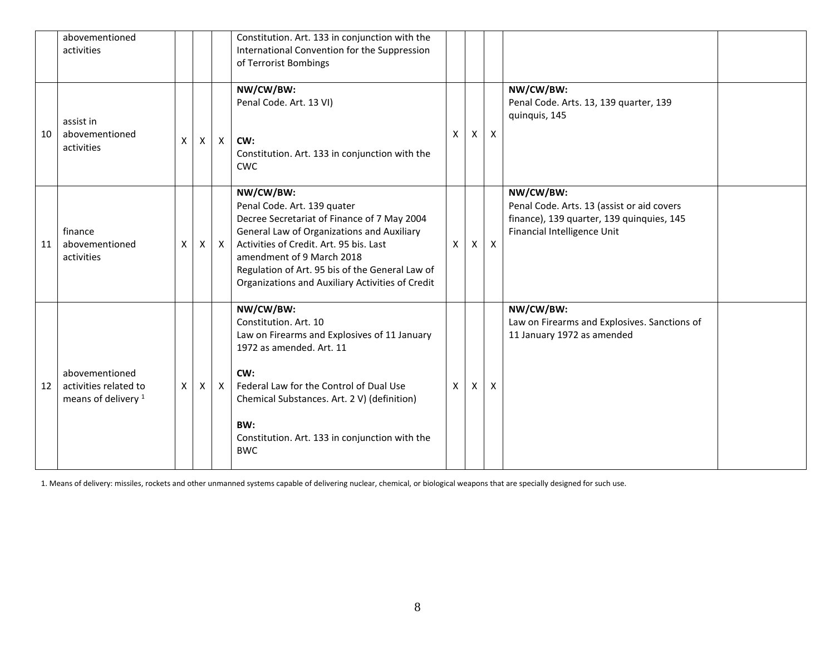|    | abovementioned<br>activities                                              |              |   |              | Constitution. Art. 133 in conjunction with the<br>International Convention for the Suppression<br>of Terrorist Bombings                                                                                                                                                                                              |   |   |              |                                                                                                                                     |  |
|----|---------------------------------------------------------------------------|--------------|---|--------------|----------------------------------------------------------------------------------------------------------------------------------------------------------------------------------------------------------------------------------------------------------------------------------------------------------------------|---|---|--------------|-------------------------------------------------------------------------------------------------------------------------------------|--|
| 10 | assist in<br>abovementioned<br>activities                                 | X            | Χ | $\mathsf{X}$ | NW/CW/BW:<br>Penal Code. Art. 13 VI)<br>CW:<br>Constitution. Art. 133 in conjunction with the<br><b>CWC</b>                                                                                                                                                                                                          | X | X | X            | NW/CW/BW:<br>Penal Code. Arts. 13, 139 quarter, 139<br>quinquis, 145                                                                |  |
| 11 | finance<br>abovementioned<br>activities                                   | X            | X | $\mathsf{X}$ | NW/CW/BW:<br>Penal Code. Art. 139 quater<br>Decree Secretariat of Finance of 7 May 2004<br>General Law of Organizations and Auxiliary<br>Activities of Credit. Art. 95 bis. Last<br>amendment of 9 March 2018<br>Regulation of Art. 95 bis of the General Law of<br>Organizations and Auxiliary Activities of Credit | X | X | $\mathsf{X}$ | NW/CW/BW:<br>Penal Code. Arts. 13 (assist or aid covers<br>finance), 139 quarter, 139 quinquies, 145<br>Financial Intelligence Unit |  |
| 12 | abovementioned<br>activities related to<br>means of delivery <sup>1</sup> | $\mathsf{X}$ | X | $\mathsf{X}$ | NW/CW/BW:<br>Constitution. Art. 10<br>Law on Firearms and Explosives of 11 January<br>1972 as amended. Art. 11<br>CW:<br>Federal Law for the Control of Dual Use<br>Chemical Substances. Art. 2 V) (definition)<br>BW:<br>Constitution. Art. 133 in conjunction with the<br><b>BWC</b>                               | X | X | X            | NW/CW/BW:<br>Law on Firearms and Explosives. Sanctions of<br>11 January 1972 as amended                                             |  |

1. Means of delivery: missiles, rockets and other unmanned systems capable of delivering nuclear, chemical, or biological weapons that are specially designed for such use.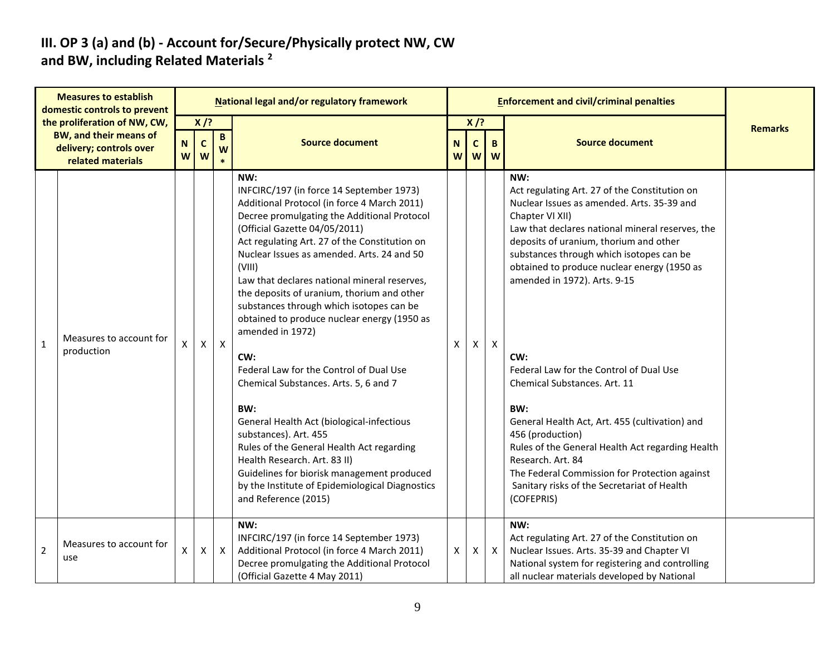#### **III. OP 3 (a) and (b) - Account for/Secure/Physically protect NW, CW and BW, including Related Materials <sup>2</sup>**

|                | <b>Measures to establish</b><br>domestic controls to prevent                                                  |                    |                            |              | <b>National legal and/or regulatory framework</b>                                                                                                                                                                                                                                                                                                                                                                                                                                                                                                                                                                                                                                                                                                                                                                                                                                  |        |                  |              |                                                                                                                                                                                                                                                                                                                                                                                                                                                                                                                                                                                                                                                                                                      |                |
|----------------|---------------------------------------------------------------------------------------------------------------|--------------------|----------------------------|--------------|------------------------------------------------------------------------------------------------------------------------------------------------------------------------------------------------------------------------------------------------------------------------------------------------------------------------------------------------------------------------------------------------------------------------------------------------------------------------------------------------------------------------------------------------------------------------------------------------------------------------------------------------------------------------------------------------------------------------------------------------------------------------------------------------------------------------------------------------------------------------------------|--------|------------------|--------------|------------------------------------------------------------------------------------------------------------------------------------------------------------------------------------------------------------------------------------------------------------------------------------------------------------------------------------------------------------------------------------------------------------------------------------------------------------------------------------------------------------------------------------------------------------------------------------------------------------------------------------------------------------------------------------------------------|----------------|
|                | the proliferation of NW, CW,<br><b>BW, and their means of</b><br>delivery; controls over<br>related materials | $\mathbf N$<br>W   | $X$ /?<br>$\mathbf c$<br>W | B<br>W       | <b>Source document</b>                                                                                                                                                                                                                                                                                                                                                                                                                                                                                                                                                                                                                                                                                                                                                                                                                                                             | N<br>W | $X$ /?<br>C<br>W | B.<br>W      | <b>Source document</b>                                                                                                                                                                                                                                                                                                                                                                                                                                                                                                                                                                                                                                                                               | <b>Remarks</b> |
| $\mathbf 1$    | Measures to account for<br>production                                                                         | X                  | X                          | $\mathsf{X}$ | NW:<br>INFCIRC/197 (in force 14 September 1973)<br>Additional Protocol (in force 4 March 2011)<br>Decree promulgating the Additional Protocol<br>(Official Gazette 04/05/2011)<br>Act regulating Art. 27 of the Constitution on<br>Nuclear Issues as amended. Arts. 24 and 50<br>(VIII)<br>Law that declares national mineral reserves,<br>the deposits of uranium, thorium and other<br>substances through which isotopes can be<br>obtained to produce nuclear energy (1950 as<br>amended in 1972)<br>CW:<br>Federal Law for the Control of Dual Use<br>Chemical Substances. Arts. 5, 6 and 7<br>BW:<br>General Health Act (biological-infectious<br>substances). Art. 455<br>Rules of the General Health Act regarding<br>Health Research. Art. 83 II)<br>Guidelines for biorisk management produced<br>by the Institute of Epidemiological Diagnostics<br>and Reference (2015) | X      | X                | $\mathsf{X}$ | NW:<br>Act regulating Art. 27 of the Constitution on<br>Nuclear Issues as amended. Arts. 35-39 and<br>Chapter VI XII)<br>Law that declares national mineral reserves, the<br>deposits of uranium, thorium and other<br>substances through which isotopes can be<br>obtained to produce nuclear energy (1950 as<br>amended in 1972). Arts. 9-15<br>CW:<br>Federal Law for the Control of Dual Use<br>Chemical Substances. Art. 11<br>BW:<br>General Health Act, Art. 455 (cultivation) and<br>456 (production)<br>Rules of the General Health Act regarding Health<br>Research, Art. 84<br>The Federal Commission for Protection against<br>Sanitary risks of the Secretariat of Health<br>(COFEPRIS) |                |
| $\overline{2}$ | Measures to account for<br>use                                                                                | $\pmb{\mathsf{X}}$ | X                          | $\mathsf{X}$ | NW:<br>INFCIRC/197 (in force 14 September 1973)<br>Additional Protocol (in force 4 March 2011)<br>Decree promulgating the Additional Protocol<br>(Official Gazette 4 May 2011)                                                                                                                                                                                                                                                                                                                                                                                                                                                                                                                                                                                                                                                                                                     | X      | X                | $\mathsf{X}$ | NW:<br>Act regulating Art. 27 of the Constitution on<br>Nuclear Issues. Arts. 35-39 and Chapter VI<br>National system for registering and controlling<br>all nuclear materials developed by National                                                                                                                                                                                                                                                                                                                                                                                                                                                                                                 |                |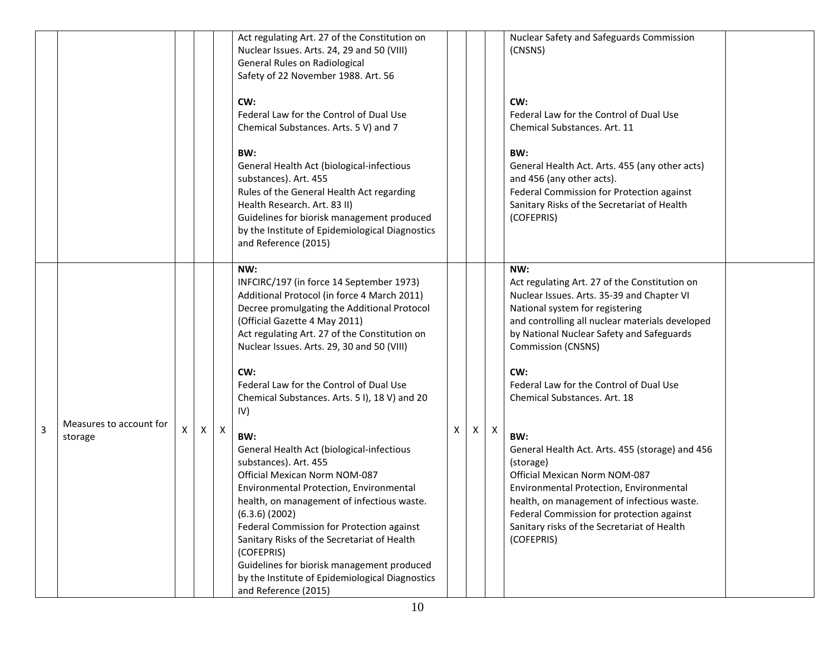|                |                                    |   |                           | Act regulating Art. 27 of the Constitution on<br>Nuclear Issues. Arts. 24, 29 and 50 (VIII)<br>General Rules on Radiological<br>Safety of 22 November 1988. Art. 56<br>CW:<br>Federal Law for the Control of Dual Use<br>Chemical Substances. Arts. 5 V) and 7<br>BW:<br>General Health Act (biological-infectious<br>substances). Art. 455<br>Rules of the General Health Act regarding<br>Health Research. Art. 83 II)<br>Guidelines for biorisk management produced<br>by the Institute of Epidemiological Diagnostics<br>and Reference (2015)                                                                                                                                                                                                                                                                                                     |   |   |   | Nuclear Safety and Safeguards Commission<br>(CNSNS)<br>CW:<br>Federal Law for the Control of Dual Use<br>Chemical Substances. Art. 11<br>BW:<br>General Health Act. Arts. 455 (any other acts)<br>and 456 (any other acts).<br>Federal Commission for Protection against<br>Sanitary Risks of the Secretariat of Health<br>(COFEPRIS)                                                                                                                                                                                                                                                                                                                           |  |
|----------------|------------------------------------|---|---------------------------|-------------------------------------------------------------------------------------------------------------------------------------------------------------------------------------------------------------------------------------------------------------------------------------------------------------------------------------------------------------------------------------------------------------------------------------------------------------------------------------------------------------------------------------------------------------------------------------------------------------------------------------------------------------------------------------------------------------------------------------------------------------------------------------------------------------------------------------------------------|---|---|---|-----------------------------------------------------------------------------------------------------------------------------------------------------------------------------------------------------------------------------------------------------------------------------------------------------------------------------------------------------------------------------------------------------------------------------------------------------------------------------------------------------------------------------------------------------------------------------------------------------------------------------------------------------------------|--|
| $\overline{3}$ | Measures to account for<br>storage | X | $\boldsymbol{\mathsf{X}}$ | NW:<br>INFCIRC/197 (in force 14 September 1973)<br>Additional Protocol (in force 4 March 2011)<br>Decree promulgating the Additional Protocol<br>(Official Gazette 4 May 2011)<br>Act regulating Art. 27 of the Constitution on<br>Nuclear Issues. Arts. 29, 30 and 50 (VIII)<br>CW:<br>Federal Law for the Control of Dual Use<br>Chemical Substances. Arts. 51), 18V) and 20<br>IV)<br>BW:<br>General Health Act (biological-infectious<br>substances). Art. 455<br>Official Mexican Norm NOM-087<br>Environmental Protection, Environmental<br>health, on management of infectious waste.<br>$(6.3.6)$ $(2002)$<br>Federal Commission for Protection against<br>Sanitary Risks of the Secretariat of Health<br>(COFEPRIS)<br>Guidelines for biorisk management produced<br>by the Institute of Epidemiological Diagnostics<br>and Reference (2015) | X | X | X | NW:<br>Act regulating Art. 27 of the Constitution on<br>Nuclear Issues. Arts. 35-39 and Chapter VI<br>National system for registering<br>and controlling all nuclear materials developed<br>by National Nuclear Safety and Safeguards<br><b>Commission (CNSNS)</b><br>CW:<br>Federal Law for the Control of Dual Use<br>Chemical Substances, Art. 18<br>BW:<br>General Health Act. Arts. 455 (storage) and 456<br>(storage)<br>Official Mexican Norm NOM-087<br>Environmental Protection, Environmental<br>health, on management of infectious waste.<br>Federal Commission for protection against<br>Sanitary risks of the Secretariat of Health<br>(COFEPRIS) |  |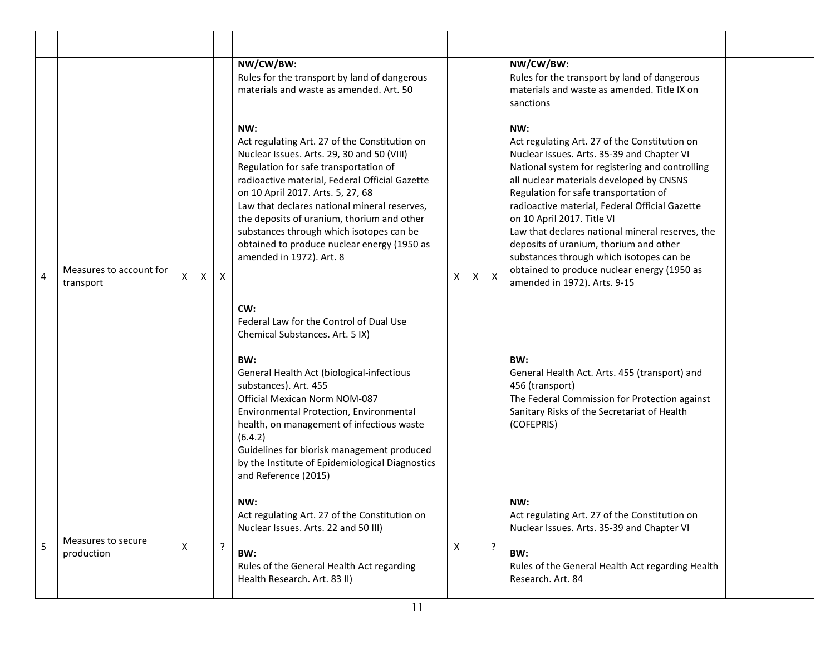|   |                                      |   |   |              | NW/CW/BW:<br>Rules for the transport by land of dangerous<br>materials and waste as amended. Art. 50                                                                                                                                                                                                                                                                                                                                                    |                |   |              | NW/CW/BW:<br>Rules for the transport by land of dangerous<br>materials and waste as amended. Title IX on<br>sanctions                                                                                                                                                                                                                                                                                                                                                                                                                               |  |
|---|--------------------------------------|---|---|--------------|---------------------------------------------------------------------------------------------------------------------------------------------------------------------------------------------------------------------------------------------------------------------------------------------------------------------------------------------------------------------------------------------------------------------------------------------------------|----------------|---|--------------|-----------------------------------------------------------------------------------------------------------------------------------------------------------------------------------------------------------------------------------------------------------------------------------------------------------------------------------------------------------------------------------------------------------------------------------------------------------------------------------------------------------------------------------------------------|--|
| 4 | Measures to account for<br>transport | X | X | $\mathsf{X}$ | NW:<br>Act regulating Art. 27 of the Constitution on<br>Nuclear Issues. Arts. 29, 30 and 50 (VIII)<br>Regulation for safe transportation of<br>radioactive material, Federal Official Gazette<br>on 10 April 2017. Arts. 5, 27, 68<br>Law that declares national mineral reserves,<br>the deposits of uranium, thorium and other<br>substances through which isotopes can be<br>obtained to produce nuclear energy (1950 as<br>amended in 1972). Art. 8 | $\pmb{\times}$ | X | $\mathsf{X}$ | NW:<br>Act regulating Art. 27 of the Constitution on<br>Nuclear Issues. Arts. 35-39 and Chapter VI<br>National system for registering and controlling<br>all nuclear materials developed by CNSNS<br>Regulation for safe transportation of<br>radioactive material, Federal Official Gazette<br>on 10 April 2017. Title VI<br>Law that declares national mineral reserves, the<br>deposits of uranium, thorium and other<br>substances through which isotopes can be<br>obtained to produce nuclear energy (1950 as<br>amended in 1972). Arts. 9-15 |  |
|   |                                      |   |   |              | CW:<br>Federal Law for the Control of Dual Use<br>Chemical Substances. Art. 5 IX)<br>BW:<br>General Health Act (biological-infectious<br>substances). Art. 455<br>Official Mexican Norm NOM-087<br>Environmental Protection, Environmental<br>health, on management of infectious waste<br>(6.4.2)<br>Guidelines for biorisk management produced<br>by the Institute of Epidemiological Diagnostics<br>and Reference (2015)                             |                |   |              | BW:<br>General Health Act. Arts. 455 (transport) and<br>456 (transport)<br>The Federal Commission for Protection against<br>Sanitary Risks of the Secretariat of Health<br>(COFEPRIS)                                                                                                                                                                                                                                                                                                                                                               |  |
| 5 | Measures to secure<br>production     | X |   | ?            | NW:<br>Act regulating Art. 27 of the Constitution on<br>Nuclear Issues. Arts. 22 and 50 III)<br>BW:<br>Rules of the General Health Act regarding<br>Health Research. Art. 83 II)                                                                                                                                                                                                                                                                        | Χ              |   | $\cdot$      | NW:<br>Act regulating Art. 27 of the Constitution on<br>Nuclear Issues. Arts. 35-39 and Chapter VI<br>BW:<br>Rules of the General Health Act regarding Health<br>Research. Art. 84                                                                                                                                                                                                                                                                                                                                                                  |  |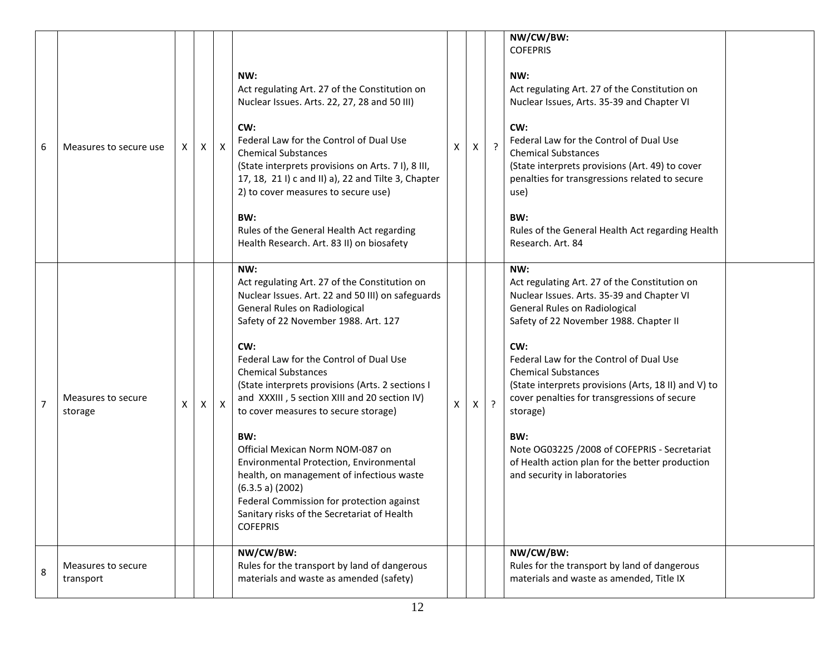| 6 | Measures to secure use          | X | $\mathsf{X}$ | $\mathsf{X}$ | NW:<br>Act regulating Art. 27 of the Constitution on<br>Nuclear Issues. Arts. 22, 27, 28 and 50 III)<br>CW:<br>Federal Law for the Control of Dual Use<br><b>Chemical Substances</b><br>(State interprets provisions on Arts. 71), 8 III,<br>17, 18, 21 I) c and II) a), 22 and Tilte 3, Chapter<br>2) to cover measures to secure use)<br>BW:<br>Rules of the General Health Act regarding<br>Health Research. Art. 83 II) on biosafety                                                                                                                                                                                                                                              | X | Χ            | $\cdot$ | NW/CW/BW:<br><b>COFEPRIS</b><br>NW:<br>Act regulating Art. 27 of the Constitution on<br>Nuclear Issues, Arts. 35-39 and Chapter VI<br>CW:<br>Federal Law for the Control of Dual Use<br><b>Chemical Substances</b><br>(State interprets provisions (Art. 49) to cover<br>penalties for transgressions related to secure<br>use)<br>BW:<br>Rules of the General Health Act regarding Health<br>Research. Art. 84                                                                                                             |  |
|---|---------------------------------|---|--------------|--------------|---------------------------------------------------------------------------------------------------------------------------------------------------------------------------------------------------------------------------------------------------------------------------------------------------------------------------------------------------------------------------------------------------------------------------------------------------------------------------------------------------------------------------------------------------------------------------------------------------------------------------------------------------------------------------------------|---|--------------|---------|-----------------------------------------------------------------------------------------------------------------------------------------------------------------------------------------------------------------------------------------------------------------------------------------------------------------------------------------------------------------------------------------------------------------------------------------------------------------------------------------------------------------------------|--|
| 7 | Measures to secure<br>storage   | X | Χ            | $\times$     | NW:<br>Act regulating Art. 27 of the Constitution on<br>Nuclear Issues. Art. 22 and 50 III) on safeguards<br>General Rules on Radiological<br>Safety of 22 November 1988. Art. 127<br>CW:<br>Federal Law for the Control of Dual Use<br><b>Chemical Substances</b><br>(State interprets provisions (Arts. 2 sections I<br>and XXXIII, 5 section XIII and 20 section IV)<br>to cover measures to secure storage)<br>BW:<br>Official Mexican Norm NOM-087 on<br>Environmental Protection, Environmental<br>health, on management of infectious waste<br>(6.3.5 a) (2002)<br>Federal Commission for protection against<br>Sanitary risks of the Secretariat of Health<br><b>COFEPRIS</b> | X | $\mathsf{X}$ | $\cdot$ | NW:<br>Act regulating Art. 27 of the Constitution on<br>Nuclear Issues. Arts. 35-39 and Chapter VI<br>General Rules on Radiological<br>Safety of 22 November 1988. Chapter II<br>CW:<br>Federal Law for the Control of Dual Use<br><b>Chemical Substances</b><br>(State interprets provisions (Arts, 18 II) and V) to<br>cover penalties for transgressions of secure<br>storage)<br>BW:<br>Note OG03225 /2008 of COFEPRIS - Secretariat<br>of Health action plan for the better production<br>and security in laboratories |  |
| 8 | Measures to secure<br>transport |   |              |              | NW/CW/BW:<br>Rules for the transport by land of dangerous<br>materials and waste as amended (safety)                                                                                                                                                                                                                                                                                                                                                                                                                                                                                                                                                                                  |   |              |         | NW/CW/BW:<br>Rules for the transport by land of dangerous<br>materials and waste as amended, Title IX                                                                                                                                                                                                                                                                                                                                                                                                                       |  |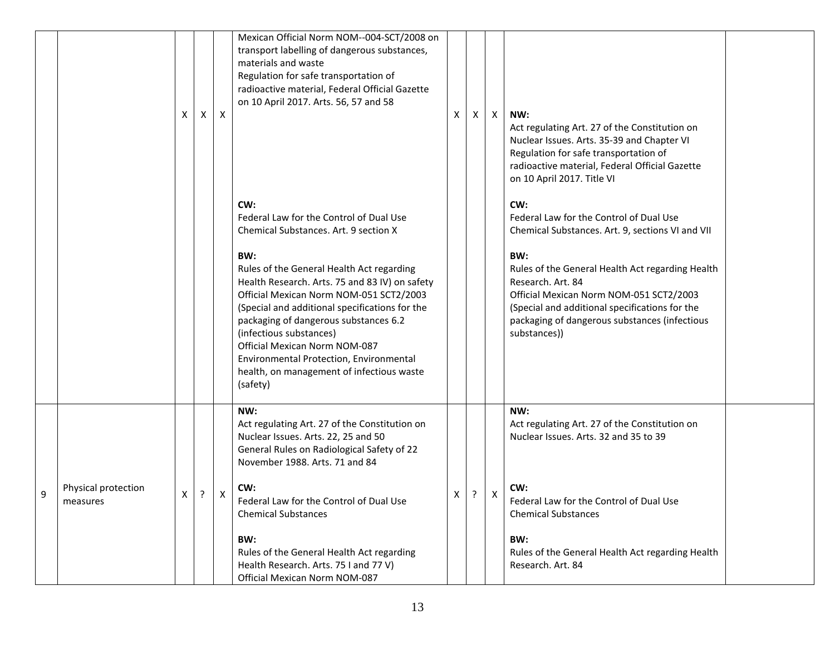|   |                                 | X | $\mathsf{x}$ | $\boldsymbol{\mathsf{X}}$ | Mexican Official Norm NOM--004-SCT/2008 on<br>transport labelling of dangerous substances,<br>materials and waste<br>Regulation for safe transportation of<br>radioactive material, Federal Official Gazette<br>on 10 April 2017. Arts. 56, 57 and 58                                                                                                                                                    | X | X | $\mathsf{X}$ | NW:<br>Act regulating Art. 27 of the Constitution on<br>Nuclear Issues. Arts. 35-39 and Chapter VI<br>Regulation for safe transportation of<br>radioactive material, Federal Official Gazette<br>on 10 April 2017. Title VI                |  |
|---|---------------------------------|---|--------------|---------------------------|----------------------------------------------------------------------------------------------------------------------------------------------------------------------------------------------------------------------------------------------------------------------------------------------------------------------------------------------------------------------------------------------------------|---|---|--------------|--------------------------------------------------------------------------------------------------------------------------------------------------------------------------------------------------------------------------------------------|--|
|   |                                 |   |              |                           | CW:<br>Federal Law for the Control of Dual Use<br>Chemical Substances. Art. 9 section X                                                                                                                                                                                                                                                                                                                  |   |   |              | CW:<br>Federal Law for the Control of Dual Use<br>Chemical Substances. Art. 9, sections VI and VII                                                                                                                                         |  |
|   |                                 |   |              |                           | BW:<br>Rules of the General Health Act regarding<br>Health Research. Arts. 75 and 83 IV) on safety<br>Official Mexican Norm NOM-051 SCT2/2003<br>(Special and additional specifications for the<br>packaging of dangerous substances 6.2<br>(infectious substances)<br>Official Mexican Norm NOM-087<br>Environmental Protection, Environmental<br>health, on management of infectious waste<br>(safety) |   |   |              | BW:<br>Rules of the General Health Act regarding Health<br>Research. Art. 84<br>Official Mexican Norm NOM-051 SCT2/2003<br>(Special and additional specifications for the<br>packaging of dangerous substances (infectious<br>substances)) |  |
|   |                                 |   |              |                           | NW:<br>Act regulating Art. 27 of the Constitution on<br>Nuclear Issues. Arts. 22, 25 and 50<br>General Rules on Radiological Safety of 22<br>November 1988. Arts. 71 and 84                                                                                                                                                                                                                              |   |   |              | NW:<br>Act regulating Art. 27 of the Constitution on<br>Nuclear Issues. Arts. 32 and 35 to 39                                                                                                                                              |  |
| 9 | Physical protection<br>measures | X | ?            | X                         | CW:<br>Federal Law for the Control of Dual Use<br><b>Chemical Substances</b>                                                                                                                                                                                                                                                                                                                             | Χ | ? | X            | CW:<br>Federal Law for the Control of Dual Use<br><b>Chemical Substances</b>                                                                                                                                                               |  |
|   |                                 |   |              |                           | BW:<br>Rules of the General Health Act regarding<br>Health Research. Arts. 75 I and 77 V)<br>Official Mexican Norm NOM-087                                                                                                                                                                                                                                                                               |   |   |              | BW:<br>Rules of the General Health Act regarding Health<br>Research. Art. 84                                                                                                                                                               |  |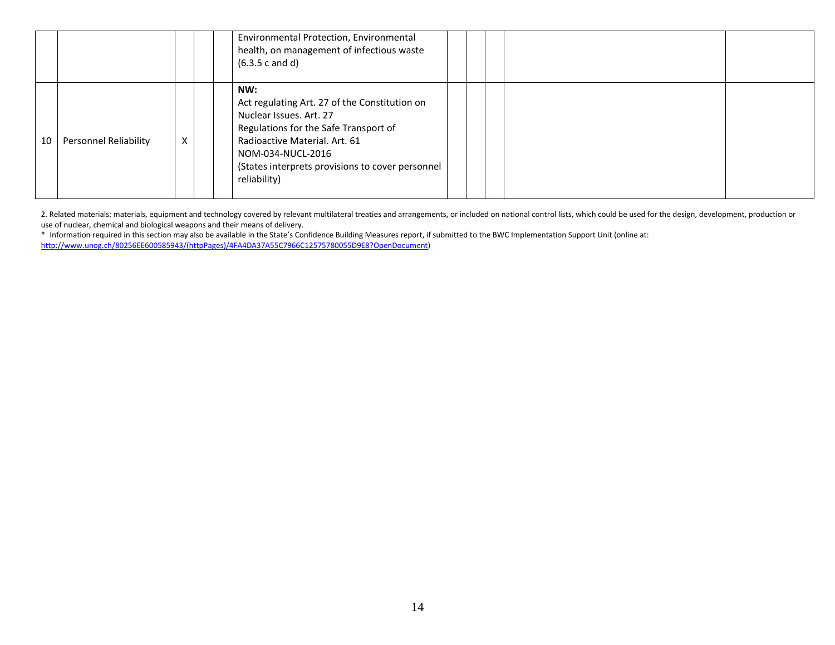|    |                              |   | Environmental Protection, Environmental<br>health, on management of infectious waste<br>(6.3.5 c and d)                                                                                                                                            |  |  |  |  |
|----|------------------------------|---|----------------------------------------------------------------------------------------------------------------------------------------------------------------------------------------------------------------------------------------------------|--|--|--|--|
| 10 | <b>Personnel Reliability</b> | X | NW:<br>Act regulating Art. 27 of the Constitution on<br>Nuclear Issues, Art. 27<br>Regulations for the Safe Transport of<br>Radioactive Material, Art. 61<br>NOM-034-NUCL-2016<br>(States interprets provisions to cover personnel<br>reliability) |  |  |  |  |

2. Related materials: materials, equipment and technology covered by relevant multilateral treaties and arrangements, or included on national control lists, which could be used for the design, development, production or use of nuclear, chemical and biological weapons and their means of delivery.

\* Information required in this section may also be available in the State's Confidence Building Measures report, if submitted to the BWC Implementation Support Unit (online at: [http://www.unog.ch/80256EE600585943/\(httpPages\)/4FA4DA37A55C7966C12575780055D9E8?OpenDocument\)](http://www.unog.ch/80256EE600585943/(httpPages)/4FA4DA37A55C7966C12575780055D9E8?OpenDocument)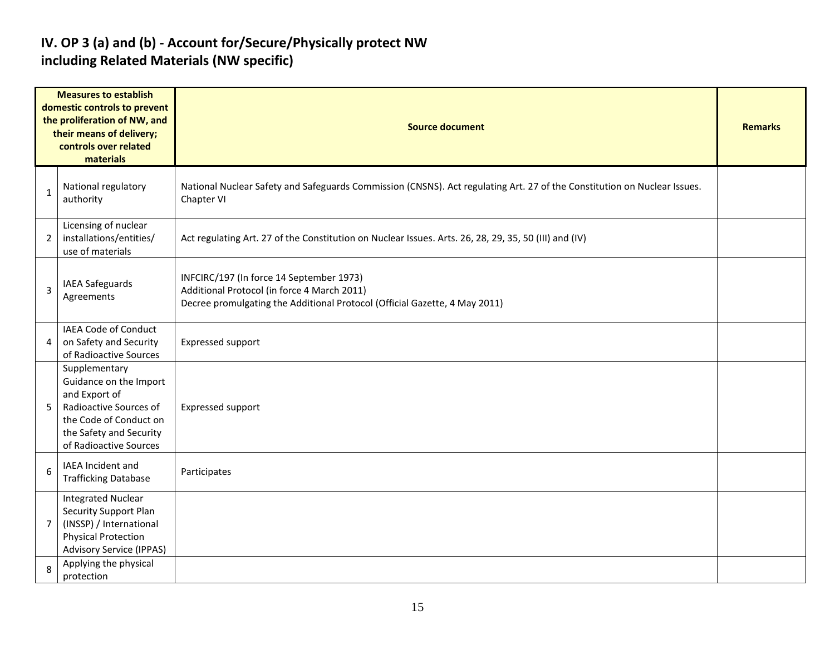### **IV. OP 3 (a) and (b) - Account for/Secure/Physically protect NW including Related Materials (NW specific)**

|                | <b>Measures to establish</b><br>domestic controls to prevent<br>the proliferation of NW, and<br>their means of delivery;<br>controls over related<br>materials    | <b>Source document</b>                                                                                                                                                | <b>Remarks</b> |
|----------------|-------------------------------------------------------------------------------------------------------------------------------------------------------------------|-----------------------------------------------------------------------------------------------------------------------------------------------------------------------|----------------|
| 1              | National regulatory<br>authority                                                                                                                                  | National Nuclear Safety and Safeguards Commission (CNSNS). Act regulating Art. 27 of the Constitution on Nuclear Issues.<br>Chapter VI                                |                |
| $\overline{2}$ | Licensing of nuclear<br>installations/entities/<br>use of materials                                                                                               | Act regulating Art. 27 of the Constitution on Nuclear Issues. Arts. 26, 28, 29, 35, 50 (III) and (IV)                                                                 |                |
| 3              | <b>IAEA Safeguards</b><br>Agreements                                                                                                                              | INFCIRC/197 (In force 14 September 1973)<br>Additional Protocol (in force 4 March 2011)<br>Decree promulgating the Additional Protocol (Official Gazette, 4 May 2011) |                |
| 4              | IAEA Code of Conduct<br>on Safety and Security<br>of Radioactive Sources                                                                                          | Expressed support                                                                                                                                                     |                |
| 5              | Supplementary<br>Guidance on the Import<br>and Export of<br>Radioactive Sources of<br>the Code of Conduct on<br>the Safety and Security<br>of Radioactive Sources | Expressed support                                                                                                                                                     |                |
| 6              | IAEA Incident and<br><b>Trafficking Database</b>                                                                                                                  | Participates                                                                                                                                                          |                |
| $\overline{7}$ | <b>Integrated Nuclear</b><br>Security Support Plan<br>(INSSP) / International<br><b>Physical Protection</b><br><b>Advisory Service (IPPAS)</b>                    |                                                                                                                                                                       |                |
| 8              | Applying the physical<br>protection                                                                                                                               |                                                                                                                                                                       |                |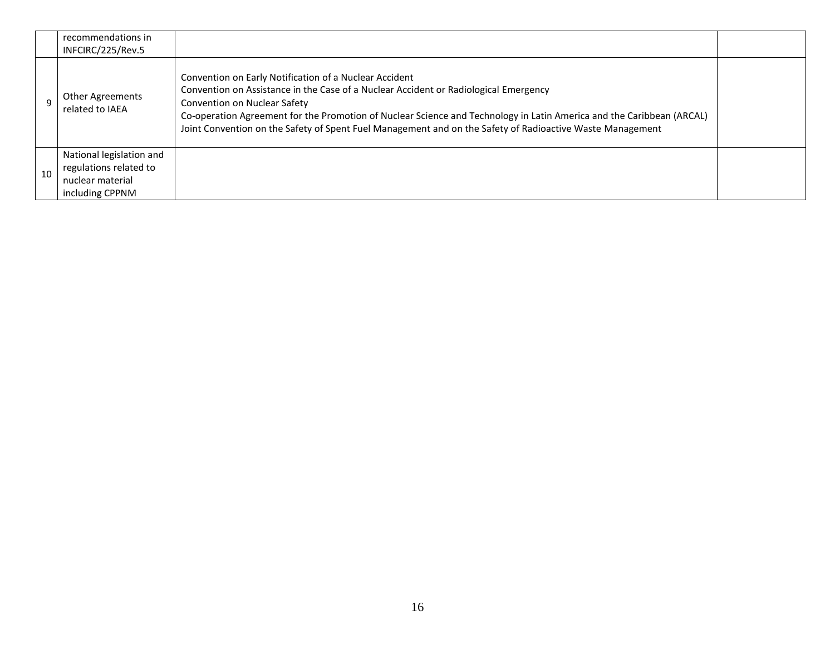|    | recommendations in<br>INFCIRC/225/Rev.5                                                   |                                                                                                                                                                                                                                                                                                                                                                                                                             |  |
|----|-------------------------------------------------------------------------------------------|-----------------------------------------------------------------------------------------------------------------------------------------------------------------------------------------------------------------------------------------------------------------------------------------------------------------------------------------------------------------------------------------------------------------------------|--|
|    | <b>Other Agreements</b><br>related to IAEA                                                | Convention on Early Notification of a Nuclear Accident<br>Convention on Assistance in the Case of a Nuclear Accident or Radiological Emergency<br><b>Convention on Nuclear Safety</b><br>Co-operation Agreement for the Promotion of Nuclear Science and Technology in Latin America and the Caribbean (ARCAL)<br>Joint Convention on the Safety of Spent Fuel Management and on the Safety of Radioactive Waste Management |  |
| 10 | National legislation and<br>regulations related to<br>nuclear material<br>including CPPNM |                                                                                                                                                                                                                                                                                                                                                                                                                             |  |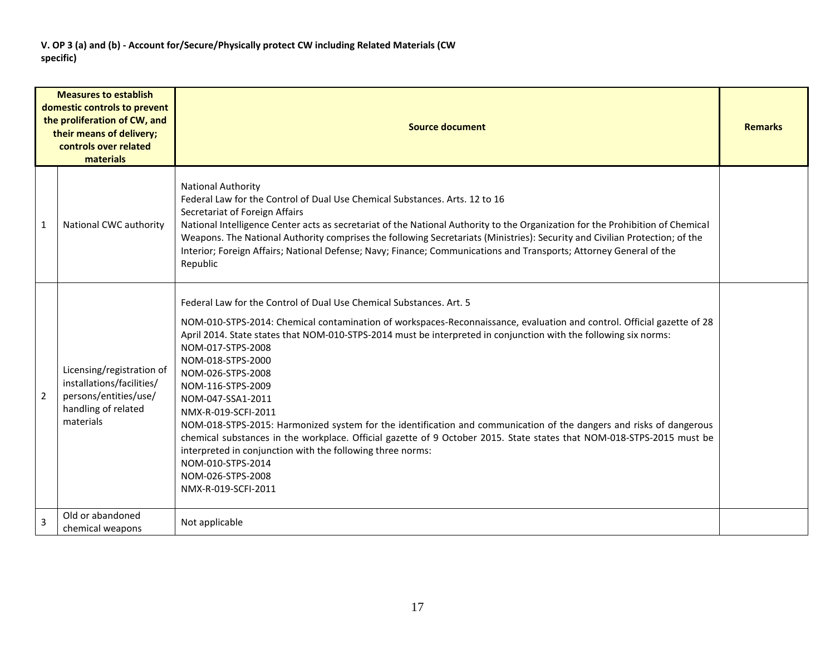|                | <b>Measures to establish</b><br>domestic controls to prevent<br>the proliferation of CW, and<br>their means of delivery;<br>controls over related<br>materials | <b>Source document</b>                                                                                                                                                                                                                                                                                                                                                                                                                                                                                                                                                                                                                                                                                                                                                                                                           |  |  |  |  |  |  |
|----------------|----------------------------------------------------------------------------------------------------------------------------------------------------------------|----------------------------------------------------------------------------------------------------------------------------------------------------------------------------------------------------------------------------------------------------------------------------------------------------------------------------------------------------------------------------------------------------------------------------------------------------------------------------------------------------------------------------------------------------------------------------------------------------------------------------------------------------------------------------------------------------------------------------------------------------------------------------------------------------------------------------------|--|--|--|--|--|--|
| 1              | National CWC authority                                                                                                                                         | <b>National Authority</b><br>Federal Law for the Control of Dual Use Chemical Substances. Arts. 12 to 16<br>Secretariat of Foreign Affairs<br>National Intelligence Center acts as secretariat of the National Authority to the Organization for the Prohibition of Chemical<br>Weapons. The National Authority comprises the following Secretariats (Ministries): Security and Civilian Protection; of the<br>Interior; Foreign Affairs; National Defense; Navy; Finance; Communications and Transports; Attorney General of the<br>Republic                                                                                                                                                                                                                                                                                    |  |  |  |  |  |  |
| $\overline{2}$ | Licensing/registration of<br>installations/facilities/<br>persons/entities/use/<br>handling of related<br>materials                                            | Federal Law for the Control of Dual Use Chemical Substances. Art. 5<br>NOM-010-STPS-2014: Chemical contamination of workspaces-Reconnaissance, evaluation and control. Official gazette of 28<br>April 2014. State states that NOM-010-STPS-2014 must be interpreted in conjunction with the following six norms:<br>NOM-017-STPS-2008<br>NOM-018-STPS-2000<br>NOM-026-STPS-2008<br>NOM-116-STPS-2009<br>NOM-047-SSA1-2011<br>NMX-R-019-SCFI-2011<br>NOM-018-STPS-2015: Harmonized system for the identification and communication of the dangers and risks of dangerous<br>chemical substances in the workplace. Official gazette of 9 October 2015. State states that NOM-018-STPS-2015 must be<br>interpreted in conjunction with the following three norms:<br>NOM-010-STPS-2014<br>NOM-026-STPS-2008<br>NMX-R-019-SCFI-2011 |  |  |  |  |  |  |
| $\overline{3}$ | Old or abandoned<br>chemical weapons                                                                                                                           | Not applicable                                                                                                                                                                                                                                                                                                                                                                                                                                                                                                                                                                                                                                                                                                                                                                                                                   |  |  |  |  |  |  |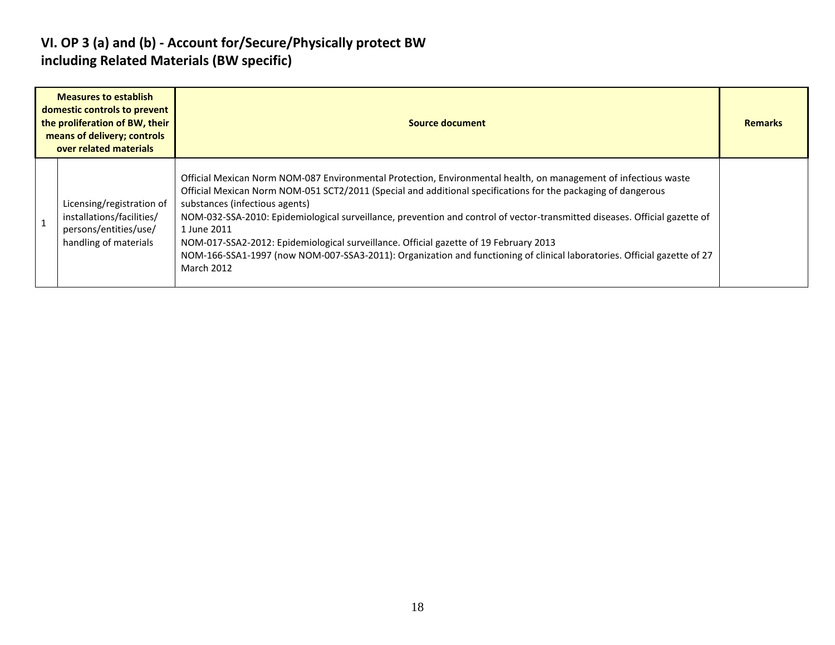### **VI. OP 3 (a) and (b) - Account for/Secure/Physically protect BW including Related Materials (BW specific)**

| <b>Measures to establish</b><br>domestic controls to prevent<br>the proliferation of BW, their<br>means of delivery; controls<br>over related materials | Source document                                                                                                                                                                                                                                                                                                                                                                                                                                                                                                                                                                                                                                           |  |  |  |  |  |  |
|---------------------------------------------------------------------------------------------------------------------------------------------------------|-----------------------------------------------------------------------------------------------------------------------------------------------------------------------------------------------------------------------------------------------------------------------------------------------------------------------------------------------------------------------------------------------------------------------------------------------------------------------------------------------------------------------------------------------------------------------------------------------------------------------------------------------------------|--|--|--|--|--|--|
| Licensing/registration of<br>installations/facilities/<br>persons/entities/use/<br>handling of materials                                                | Official Mexican Norm NOM-087 Environmental Protection, Environmental health, on management of infectious waste<br>Official Mexican Norm NOM-051 SCT2/2011 (Special and additional specifications for the packaging of dangerous<br>substances (infectious agents)<br>NOM-032-SSA-2010: Epidemiological surveillance, prevention and control of vector-transmitted diseases. Official gazette of<br>1 June 2011<br>NOM-017-SSA2-2012: Epidemiological surveillance. Official gazette of 19 February 2013<br>NOM-166-SSA1-1997 (now NOM-007-SSA3-2011): Organization and functioning of clinical laboratories. Official gazette of 27<br><b>March 2012</b> |  |  |  |  |  |  |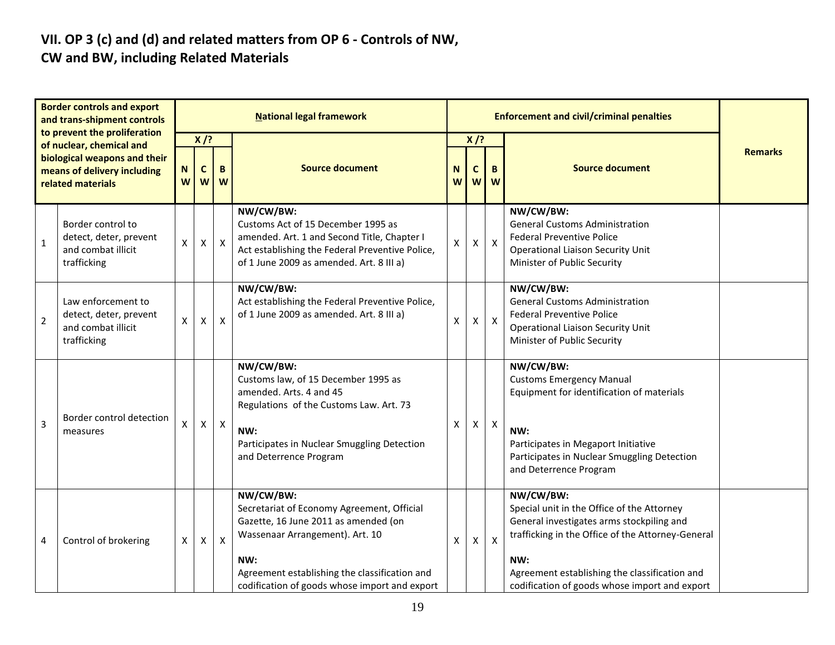### **VII. OP 3 (c) and (d) and related matters from OP 6 - Controls of NW, CW and BW, including Related Materials**

|                | <b>Border controls and export</b><br>and trans-shipment controls<br>to prevent the proliferation             |        |                                          |                  | <b>National legal framework</b>                                                                                                                                                                                                             |        |                         | <b>Enforcement and civil/criminal penalties</b> |                                                                                                                                                                                                                                                                    |                |
|----------------|--------------------------------------------------------------------------------------------------------------|--------|------------------------------------------|------------------|---------------------------------------------------------------------------------------------------------------------------------------------------------------------------------------------------------------------------------------------|--------|-------------------------|-------------------------------------------------|--------------------------------------------------------------------------------------------------------------------------------------------------------------------------------------------------------------------------------------------------------------------|----------------|
|                | of nuclear, chemical and<br>biological weapons and their<br>means of delivery including<br>related materials | N<br>W | $X$ /?<br>$\mathbf{C}$<br>w <sub>l</sub> | B<br>W           | <b>Source document</b>                                                                                                                                                                                                                      | N<br>W | $X$ /?<br>C<br><b>W</b> | B<br>W                                          | <b>Source document</b>                                                                                                                                                                                                                                             | <b>Remarks</b> |
| $\mathbf{1}$   | Border control to<br>detect, deter, prevent<br>and combat illicit<br>trafficking                             | X      | $\pmb{\times}$                           | $\mathsf{X}$     | NW/CW/BW:<br>Customs Act of 15 December 1995 as<br>amended. Art. 1 and Second Title, Chapter I<br>Act establishing the Federal Preventive Police,<br>of 1 June 2009 as amended. Art. 8 III a)                                               | X.     | $\mathsf X$             | $\boldsymbol{\mathsf{X}}$                       | NW/CW/BW:<br><b>General Customs Administration</b><br><b>Federal Preventive Police</b><br><b>Operational Liaison Security Unit</b><br>Minister of Public Security                                                                                                  |                |
| $\overline{2}$ | Law enforcement to<br>detect, deter, prevent<br>and combat illicit<br>trafficking                            | X      | $\mathsf{x}$                             | $\boldsymbol{X}$ | NW/CW/BW:<br>Act establishing the Federal Preventive Police,<br>of 1 June 2009 as amended. Art. 8 III a)                                                                                                                                    | X.     | $\mathsf{X}$            | $\boldsymbol{\mathsf{X}}$                       | NW/CW/BW:<br><b>General Customs Administration</b><br><b>Federal Preventive Police</b><br><b>Operational Liaison Security Unit</b><br>Minister of Public Security                                                                                                  |                |
| 3              | Border control detection<br>measures                                                                         | X      | $\pmb{\times}$                           | $\mathsf{X}$     | NW/CW/BW:<br>Customs law, of 15 December 1995 as<br>amended. Arts. 4 and 45<br>Regulations of the Customs Law. Art. 73<br>NW:<br>Participates in Nuclear Smuggling Detection<br>and Deterrence Program                                      | X      | Χ                       | X                                               | NW/CW/BW:<br><b>Customs Emergency Manual</b><br>Equipment for identification of materials<br>NW:<br>Participates in Megaport Initiative<br>Participates in Nuclear Smuggling Detection<br>and Deterrence Program                                                   |                |
| 4              | Control of brokering                                                                                         | X      | X                                        | $\mathsf{X}$     | NW/CW/BW:<br>Secretariat of Economy Agreement, Official<br>Gazette, 16 June 2011 as amended (on<br>Wassenaar Arrangement). Art. 10<br>NW:<br>Agreement establishing the classification and<br>codification of goods whose import and export | X      | $\mathsf{X}$            | $\boldsymbol{\mathsf{X}}$                       | NW/CW/BW:<br>Special unit in the Office of the Attorney<br>General investigates arms stockpiling and<br>trafficking in the Office of the Attorney-General<br>NW:<br>Agreement establishing the classification and<br>codification of goods whose import and export |                |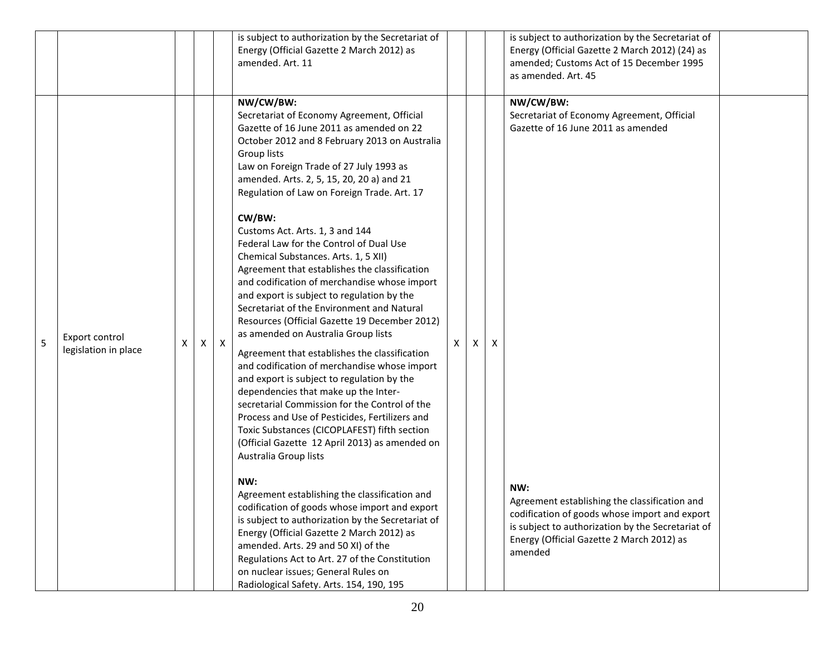|   |                                        |   |     |              | is subject to authorization by the Secretariat of<br>Energy (Official Gazette 2 March 2012) as<br>amended. Art. 11                                                                                                                                                                                                                                                                                                                                                                                                                                                                                                                                                                                                                                                                                                                                                                                                                                                                                                                                                                                                                                                                                                                                                                                                                                                                                                                                                                                                                          |   |   |   | is subject to authorization by the Secretariat of<br>Energy (Official Gazette 2 March 2012) (24) as<br>amended; Customs Act of 15 December 1995<br>as amended. Art. 45                                                                                                                                              |  |
|---|----------------------------------------|---|-----|--------------|---------------------------------------------------------------------------------------------------------------------------------------------------------------------------------------------------------------------------------------------------------------------------------------------------------------------------------------------------------------------------------------------------------------------------------------------------------------------------------------------------------------------------------------------------------------------------------------------------------------------------------------------------------------------------------------------------------------------------------------------------------------------------------------------------------------------------------------------------------------------------------------------------------------------------------------------------------------------------------------------------------------------------------------------------------------------------------------------------------------------------------------------------------------------------------------------------------------------------------------------------------------------------------------------------------------------------------------------------------------------------------------------------------------------------------------------------------------------------------------------------------------------------------------------|---|---|---|---------------------------------------------------------------------------------------------------------------------------------------------------------------------------------------------------------------------------------------------------------------------------------------------------------------------|--|
| 5 | Export control<br>legislation in place | х | X I | $\mathsf{X}$ | NW/CW/BW:<br>Secretariat of Economy Agreement, Official<br>Gazette of 16 June 2011 as amended on 22<br>October 2012 and 8 February 2013 on Australia<br>Group lists<br>Law on Foreign Trade of 27 July 1993 as<br>amended. Arts. 2, 5, 15, 20, 20 a) and 21<br>Regulation of Law on Foreign Trade. Art. 17<br>CW/BW:<br>Customs Act. Arts. 1, 3 and 144<br>Federal Law for the Control of Dual Use<br>Chemical Substances. Arts. 1, 5 XII)<br>Agreement that establishes the classification<br>and codification of merchandise whose import<br>and export is subject to regulation by the<br>Secretariat of the Environment and Natural<br>Resources (Official Gazette 19 December 2012)<br>as amended on Australia Group lists<br>Agreement that establishes the classification<br>and codification of merchandise whose import<br>and export is subject to regulation by the<br>dependencies that make up the Inter-<br>secretarial Commission for the Control of the<br>Process and Use of Pesticides, Fertilizers and<br>Toxic Substances (CICOPLAFEST) fifth section<br>(Official Gazette 12 April 2013) as amended on<br>Australia Group lists<br>NW:<br>Agreement establishing the classification and<br>codification of goods whose import and export<br>is subject to authorization by the Secretariat of<br>Energy (Official Gazette 2 March 2012) as<br>amended. Arts. 29 and 50 XI) of the<br>Regulations Act to Art. 27 of the Constitution<br>on nuclear issues; General Rules on<br>Radiological Safety. Arts. 154, 190, 195 | x | X | X | NW/CW/BW:<br>Secretariat of Economy Agreement, Official<br>Gazette of 16 June 2011 as amended<br>NW:<br>Agreement establishing the classification and<br>codification of goods whose import and export<br>is subject to authorization by the Secretariat of<br>Energy (Official Gazette 2 March 2012) as<br>amended |  |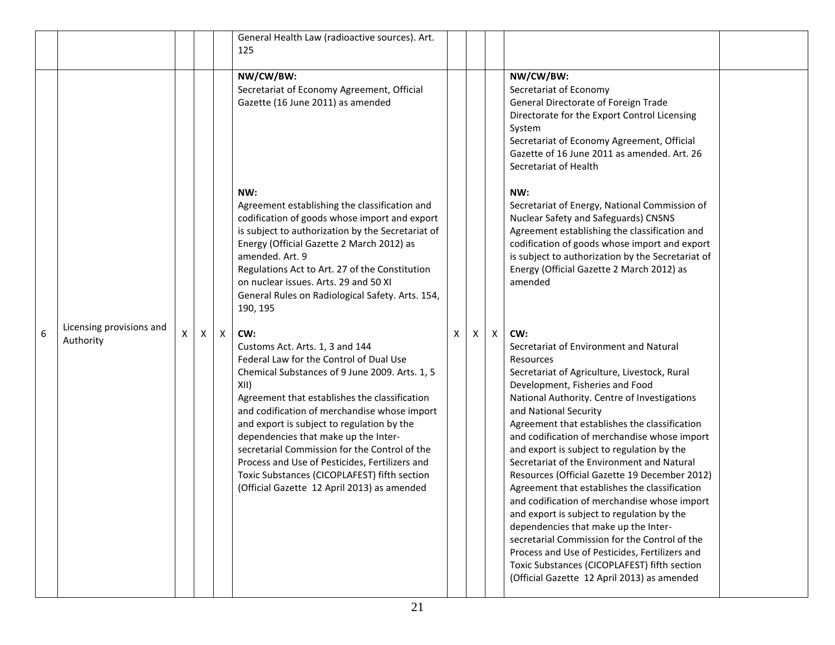|   |                                       |   |   |              | General Health Law (radioactive sources). Art.<br>125                                                                                                                                                                                                                                                                                                                                                                                                                                                                                |   |   |   |                                                                                                                                                                                                                                                                                                                                                                                                                                                                                                                                                                                                                                                                                                                                                                                                                                                               |  |
|---|---------------------------------------|---|---|--------------|--------------------------------------------------------------------------------------------------------------------------------------------------------------------------------------------------------------------------------------------------------------------------------------------------------------------------------------------------------------------------------------------------------------------------------------------------------------------------------------------------------------------------------------|---|---|---|---------------------------------------------------------------------------------------------------------------------------------------------------------------------------------------------------------------------------------------------------------------------------------------------------------------------------------------------------------------------------------------------------------------------------------------------------------------------------------------------------------------------------------------------------------------------------------------------------------------------------------------------------------------------------------------------------------------------------------------------------------------------------------------------------------------------------------------------------------------|--|
|   |                                       |   |   |              | NW/CW/BW:<br>Secretariat of Economy Agreement, Official<br>Gazette (16 June 2011) as amended                                                                                                                                                                                                                                                                                                                                                                                                                                         |   |   |   | NW/CW/BW:<br>Secretariat of Economy<br>General Directorate of Foreign Trade<br>Directorate for the Export Control Licensing<br>System<br>Secretariat of Economy Agreement, Official<br>Gazette of 16 June 2011 as amended. Art. 26<br>Secretariat of Health                                                                                                                                                                                                                                                                                                                                                                                                                                                                                                                                                                                                   |  |
|   |                                       |   |   |              | NW:<br>Agreement establishing the classification and<br>codification of goods whose import and export<br>is subject to authorization by the Secretariat of<br>Energy (Official Gazette 2 March 2012) as<br>amended. Art. 9<br>Regulations Act to Art. 27 of the Constitution<br>on nuclear issues. Arts. 29 and 50 XI<br>General Rules on Radiological Safety. Arts. 154,<br>190, 195                                                                                                                                                |   |   |   | NW:<br>Secretariat of Energy, National Commission of<br>Nuclear Safety and Safeguards) CNSNS<br>Agreement establishing the classification and<br>codification of goods whose import and export<br>is subject to authorization by the Secretariat of<br>Energy (Official Gazette 2 March 2012) as<br>amended                                                                                                                                                                                                                                                                                                                                                                                                                                                                                                                                                   |  |
| 6 | Licensing provisions and<br>Authority | X | x | $\mathsf{X}$ | CW:<br>Customs Act. Arts. 1, 3 and 144<br>Federal Law for the Control of Dual Use<br>Chemical Substances of 9 June 2009. Arts. 1, 5<br>XII)<br>Agreement that establishes the classification<br>and codification of merchandise whose import<br>and export is subject to regulation by the<br>dependencies that make up the Inter-<br>secretarial Commission for the Control of the<br>Process and Use of Pesticides, Fertilizers and<br>Toxic Substances (CICOPLAFEST) fifth section<br>(Official Gazette 12 April 2013) as amended | X | X | X | CW:<br>Secretariat of Environment and Natural<br>Resources<br>Secretariat of Agriculture, Livestock, Rural<br>Development, Fisheries and Food<br>National Authority. Centre of Investigations<br>and National Security<br>Agreement that establishes the classification<br>and codification of merchandise whose import<br>and export is subject to regulation by the<br>Secretariat of the Environment and Natural<br>Resources (Official Gazette 19 December 2012)<br>Agreement that establishes the classification<br>and codification of merchandise whose import<br>and export is subject to regulation by the<br>dependencies that make up the Inter-<br>secretarial Commission for the Control of the<br>Process and Use of Pesticides, Fertilizers and<br>Toxic Substances (CICOPLAFEST) fifth section<br>(Official Gazette 12 April 2013) as amended |  |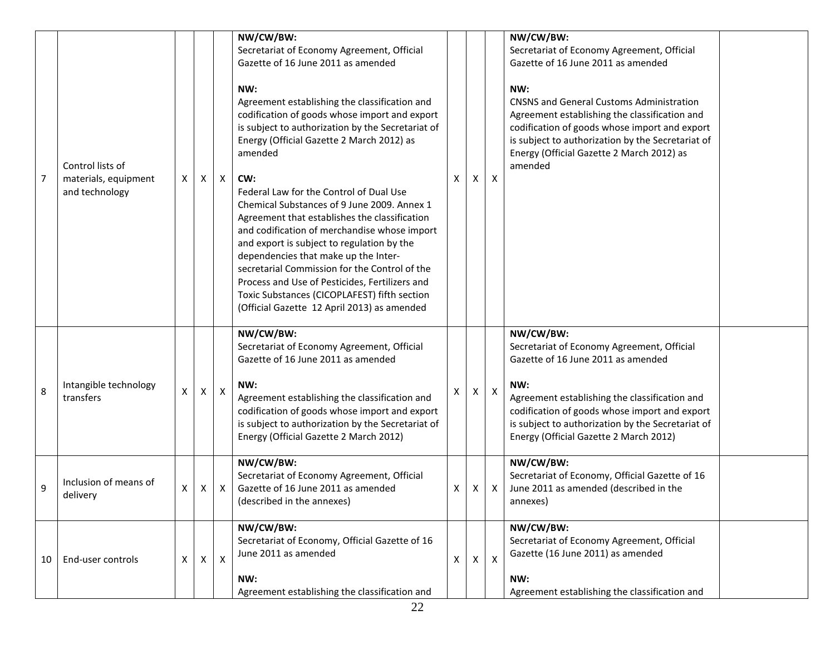| $\overline{7}$ | Control lists of<br>materials, equipment<br>and technology | X | X                  | $\mathsf{X}$ | NW/CW/BW:<br>Secretariat of Economy Agreement, Official<br>Gazette of 16 June 2011 as amended<br>NW:<br>Agreement establishing the classification and<br>codification of goods whose import and export<br>is subject to authorization by the Secretariat of<br>Energy (Official Gazette 2 March 2012) as<br>amended<br>CW:<br>Federal Law for the Control of Dual Use<br>Chemical Substances of 9 June 2009. Annex 1<br>Agreement that establishes the classification<br>and codification of merchandise whose import<br>and export is subject to regulation by the<br>dependencies that make up the Inter-<br>secretarial Commission for the Control of the<br>Process and Use of Pesticides, Fertilizers and<br>Toxic Substances (CICOPLAFEST) fifth section<br>(Official Gazette 12 April 2013) as amended<br>NW/CW/BW: | X. | X            | X              | NW/CW/BW:<br>Secretariat of Economy Agreement, Official<br>Gazette of 16 June 2011 as amended<br>NW:<br><b>CNSNS and General Customs Administration</b><br>Agreement establishing the classification and<br>codification of goods whose import and export<br>is subject to authorization by the Secretariat of<br>Energy (Official Gazette 2 March 2012) as<br>amended<br>NW/CW/BW: |  |
|----------------|------------------------------------------------------------|---|--------------------|--------------|----------------------------------------------------------------------------------------------------------------------------------------------------------------------------------------------------------------------------------------------------------------------------------------------------------------------------------------------------------------------------------------------------------------------------------------------------------------------------------------------------------------------------------------------------------------------------------------------------------------------------------------------------------------------------------------------------------------------------------------------------------------------------------------------------------------------------|----|--------------|----------------|-------------------------------------------------------------------------------------------------------------------------------------------------------------------------------------------------------------------------------------------------------------------------------------------------------------------------------------------------------------------------------------|--|
| 8              | Intangible technology<br>transfers                         | X | $\mathsf{X}$       | $\mathsf{X}$ | Secretariat of Economy Agreement, Official<br>Gazette of 16 June 2011 as amended<br>NW:<br>Agreement establishing the classification and<br>codification of goods whose import and export<br>is subject to authorization by the Secretariat of<br>Energy (Official Gazette 2 March 2012)                                                                                                                                                                                                                                                                                                                                                                                                                                                                                                                                   | X  | X            | $\pmb{\times}$ | Secretariat of Economy Agreement, Official<br>Gazette of 16 June 2011 as amended<br>NW:<br>Agreement establishing the classification and<br>codification of goods whose import and export<br>is subject to authorization by the Secretariat of<br>Energy (Official Gazette 2 March 2012)                                                                                            |  |
| 9              | Inclusion of means of<br>delivery                          | x | Χ                  | Χ            | NW/CW/BW:<br>Secretariat of Economy Agreement, Official<br>Gazette of 16 June 2011 as amended<br>(described in the annexes)                                                                                                                                                                                                                                                                                                                                                                                                                                                                                                                                                                                                                                                                                                | x  | X.           | X              | NW/CW/BW:<br>Secretariat of Economy, Official Gazette of 16<br>June 2011 as amended (described in the<br>annexes)                                                                                                                                                                                                                                                                   |  |
| 10             | End-user controls                                          | X | $\pmb{\mathsf{X}}$ | $\mathsf{X}$ | NW/CW/BW:<br>Secretariat of Economy, Official Gazette of 16<br>June 2011 as amended<br>NW:<br>Agreement establishing the classification and                                                                                                                                                                                                                                                                                                                                                                                                                                                                                                                                                                                                                                                                                | X  | $\mathsf{X}$ | $\mathsf{X}$   | NW/CW/BW:<br>Secretariat of Economy Agreement, Official<br>Gazette (16 June 2011) as amended<br>NW:<br>Agreement establishing the classification and                                                                                                                                                                                                                                |  |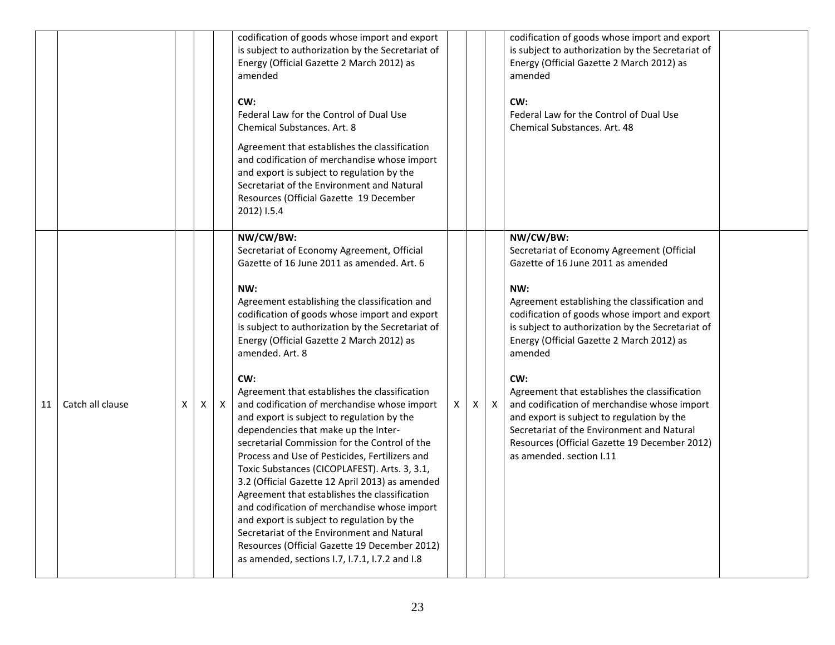|    |                  |    |   |              | codification of goods whose import and export<br>is subject to authorization by the Secretariat of<br>Energy (Official Gazette 2 March 2012) as<br>amended<br>CW:<br>Federal Law for the Control of Dual Use<br>Chemical Substances, Art. 8<br>Agreement that establishes the classification<br>and codification of merchandise whose import<br>and export is subject to regulation by the<br>Secretariat of the Environment and Natural<br>Resources (Official Gazette 19 December<br>2012) I.5.4                                                                                                                                                                                                                                                                                                                                                                                                                                                                                                                                       |   |   |              | codification of goods whose import and export<br>is subject to authorization by the Secretariat of<br>Energy (Official Gazette 2 March 2012) as<br>amended<br>CW:<br>Federal Law for the Control of Dual Use<br>Chemical Substances, Art. 48                                                                                                                                                                                                                                                                                                                                                         |  |
|----|------------------|----|---|--------------|------------------------------------------------------------------------------------------------------------------------------------------------------------------------------------------------------------------------------------------------------------------------------------------------------------------------------------------------------------------------------------------------------------------------------------------------------------------------------------------------------------------------------------------------------------------------------------------------------------------------------------------------------------------------------------------------------------------------------------------------------------------------------------------------------------------------------------------------------------------------------------------------------------------------------------------------------------------------------------------------------------------------------------------|---|---|--------------|------------------------------------------------------------------------------------------------------------------------------------------------------------------------------------------------------------------------------------------------------------------------------------------------------------------------------------------------------------------------------------------------------------------------------------------------------------------------------------------------------------------------------------------------------------------------------------------------------|--|
| 11 | Catch all clause | X. | X | $\mathsf{X}$ | NW/CW/BW:<br>Secretariat of Economy Agreement, Official<br>Gazette of 16 June 2011 as amended. Art. 6<br>NW:<br>Agreement establishing the classification and<br>codification of goods whose import and export<br>is subject to authorization by the Secretariat of<br>Energy (Official Gazette 2 March 2012) as<br>amended. Art. 8<br>CW:<br>Agreement that establishes the classification<br>and codification of merchandise whose import<br>and export is subject to regulation by the<br>dependencies that make up the Inter-<br>secretarial Commission for the Control of the<br>Process and Use of Pesticides, Fertilizers and<br>Toxic Substances (CICOPLAFEST). Arts. 3, 3.1,<br>3.2 (Official Gazette 12 April 2013) as amended<br>Agreement that establishes the classification<br>and codification of merchandise whose import<br>and export is subject to regulation by the<br>Secretariat of the Environment and Natural<br>Resources (Official Gazette 19 December 2012)<br>as amended, sections 1.7, 1.7.1, 1.7.2 and 1.8 | X | X | $\mathsf{X}$ | NW/CW/BW:<br>Secretariat of Economy Agreement (Official<br>Gazette of 16 June 2011 as amended<br>NW:<br>Agreement establishing the classification and<br>codification of goods whose import and export<br>is subject to authorization by the Secretariat of<br>Energy (Official Gazette 2 March 2012) as<br>amended<br>CW:<br>Agreement that establishes the classification<br>and codification of merchandise whose import<br>and export is subject to regulation by the<br>Secretariat of the Environment and Natural<br>Resources (Official Gazette 19 December 2012)<br>as amended, section I.11 |  |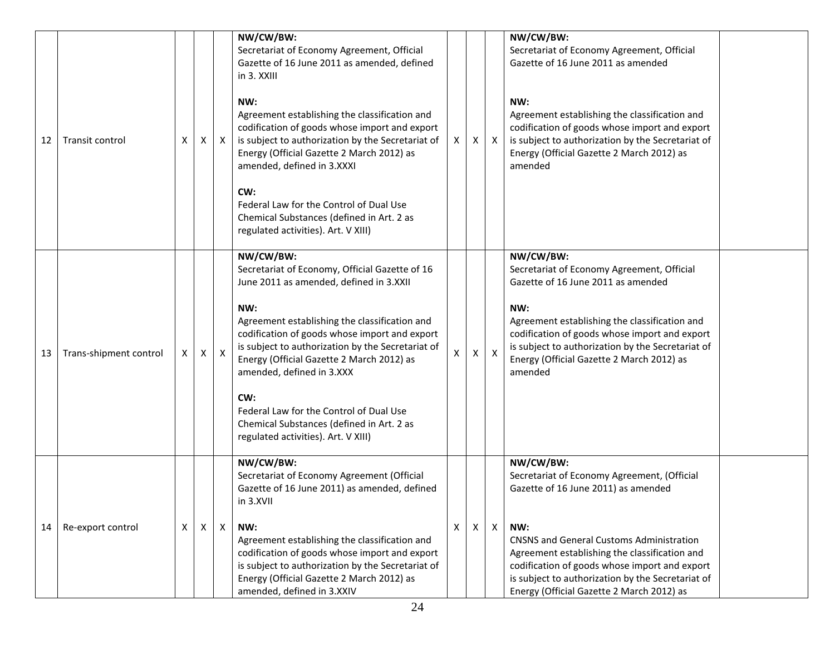|    |                        |   |              |              | NW/CW/BW:                                                                                      |    |     |                           | NW/CW/BW:                                                                                      |  |
|----|------------------------|---|--------------|--------------|------------------------------------------------------------------------------------------------|----|-----|---------------------------|------------------------------------------------------------------------------------------------|--|
|    |                        |   |              |              | Secretariat of Economy Agreement, Official                                                     |    |     |                           | Secretariat of Economy Agreement, Official                                                     |  |
|    |                        |   |              |              | Gazette of 16 June 2011 as amended, defined                                                    |    |     |                           | Gazette of 16 June 2011 as amended                                                             |  |
|    |                        |   |              |              | in 3. XXIII                                                                                    |    |     |                           |                                                                                                |  |
|    |                        |   |              |              |                                                                                                |    |     |                           |                                                                                                |  |
|    |                        |   |              |              | NW:<br>Agreement establishing the classification and                                           |    |     |                           | NW:<br>Agreement establishing the classification and                                           |  |
|    |                        |   |              |              | codification of goods whose import and export                                                  |    |     |                           | codification of goods whose import and export                                                  |  |
| 12 | Transit control        | X | X            | X            | is subject to authorization by the Secretariat of                                              | X. | X I | $\mathsf{X}$              | is subject to authorization by the Secretariat of                                              |  |
|    |                        |   |              |              | Energy (Official Gazette 2 March 2012) as                                                      |    |     |                           | Energy (Official Gazette 2 March 2012) as                                                      |  |
|    |                        |   |              |              | amended, defined in 3.XXXI                                                                     |    |     |                           | amended                                                                                        |  |
|    |                        |   |              |              |                                                                                                |    |     |                           |                                                                                                |  |
|    |                        |   |              |              | CW:<br>Federal Law for the Control of Dual Use                                                 |    |     |                           |                                                                                                |  |
|    |                        |   |              |              | Chemical Substances (defined in Art. 2 as                                                      |    |     |                           |                                                                                                |  |
|    |                        |   |              |              | regulated activities). Art. V XIII)                                                            |    |     |                           |                                                                                                |  |
|    |                        |   |              |              |                                                                                                |    |     |                           |                                                                                                |  |
|    |                        |   |              |              | NW/CW/BW:                                                                                      |    |     |                           | NW/CW/BW:                                                                                      |  |
|    |                        |   |              |              | Secretariat of Economy, Official Gazette of 16<br>June 2011 as amended, defined in 3.XXII      |    |     |                           | Secretariat of Economy Agreement, Official<br>Gazette of 16 June 2011 as amended               |  |
|    |                        |   |              |              |                                                                                                |    |     |                           |                                                                                                |  |
|    |                        |   |              |              | NW:                                                                                            |    |     |                           | NW:                                                                                            |  |
|    |                        |   |              |              | Agreement establishing the classification and                                                  |    |     |                           | Agreement establishing the classification and                                                  |  |
|    |                        |   |              |              | codification of goods whose import and export                                                  |    |     |                           | codification of goods whose import and export                                                  |  |
| 13 | Trans-shipment control | X | $\mathsf{X}$ | X            | is subject to authorization by the Secretariat of<br>Energy (Official Gazette 2 March 2012) as | X. | X   | $\boldsymbol{\mathsf{X}}$ | is subject to authorization by the Secretariat of<br>Energy (Official Gazette 2 March 2012) as |  |
|    |                        |   |              |              | amended, defined in 3.XXX                                                                      |    |     |                           | amended                                                                                        |  |
|    |                        |   |              |              |                                                                                                |    |     |                           |                                                                                                |  |
|    |                        |   |              |              | CW:                                                                                            |    |     |                           |                                                                                                |  |
|    |                        |   |              |              | Federal Law for the Control of Dual Use                                                        |    |     |                           |                                                                                                |  |
|    |                        |   |              |              | Chemical Substances (defined in Art. 2 as<br>regulated activities). Art. V XIII)               |    |     |                           |                                                                                                |  |
|    |                        |   |              |              |                                                                                                |    |     |                           |                                                                                                |  |
|    |                        |   |              |              | NW/CW/BW:                                                                                      |    |     |                           | NW/CW/BW:                                                                                      |  |
|    |                        |   |              |              | Secretariat of Economy Agreement (Official                                                     |    |     |                           | Secretariat of Economy Agreement, (Official                                                    |  |
|    |                        |   |              |              | Gazette of 16 June 2011) as amended, defined                                                   |    |     |                           | Gazette of 16 June 2011) as amended                                                            |  |
|    |                        |   |              |              | in 3.XVII                                                                                      |    |     |                           |                                                                                                |  |
| 14 | Re-export control      | X | X            | $\mathsf{X}$ | NW:                                                                                            | X  | X   | $\mathsf{X}$              | NW:                                                                                            |  |
|    |                        |   |              |              | Agreement establishing the classification and                                                  |    |     |                           | <b>CNSNS and General Customs Administration</b>                                                |  |
|    |                        |   |              |              | codification of goods whose import and export                                                  |    |     |                           | Agreement establishing the classification and                                                  |  |
|    |                        |   |              |              | is subject to authorization by the Secretariat of                                              |    |     |                           | codification of goods whose import and export                                                  |  |
|    |                        |   |              |              | Energy (Official Gazette 2 March 2012) as                                                      |    |     |                           | is subject to authorization by the Secretariat of                                              |  |
|    |                        |   |              |              | amended, defined in 3.XXIV                                                                     |    |     |                           | Energy (Official Gazette 2 March 2012) as                                                      |  |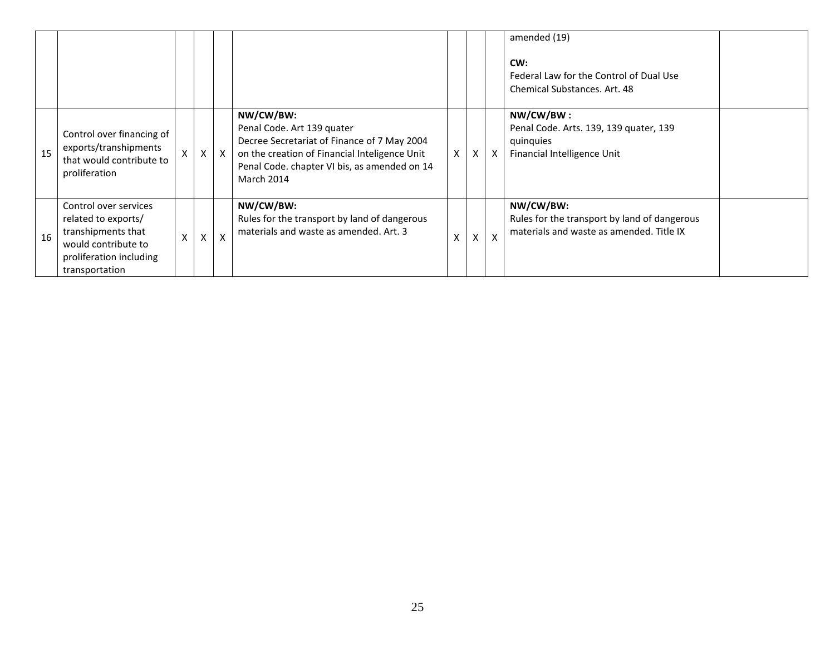|    |                                                                                                                                        |              |   |                           |                                                                                                                                                                                                       |              |                   |                           | amended (19)<br>CW:<br>Federal Law for the Control of Dual Use<br><b>Chemical Substances, Art. 48</b> |  |
|----|----------------------------------------------------------------------------------------------------------------------------------------|--------------|---|---------------------------|-------------------------------------------------------------------------------------------------------------------------------------------------------------------------------------------------------|--------------|-------------------|---------------------------|-------------------------------------------------------------------------------------------------------|--|
| 15 | Control over financing of<br>exports/transhipments<br>that would contribute to<br>proliferation                                        | $\mathsf{x}$ | X | $\mathsf{X}$              | NW/CW/BW:<br>Penal Code. Art 139 quater<br>Decree Secretariat of Finance of 7 May 2004<br>on the creation of Financial Inteligence Unit<br>Penal Code. chapter VI bis, as amended on 14<br>March 2014 | $\mathsf{X}$ | X                 | $\mathsf{x}$              | NW/CW/BW:<br>Penal Code. Arts. 139, 139 quater, 139<br>quinquies<br>Financial Intelligence Unit       |  |
| 16 | Control over services<br>related to exports/<br>transhipments that<br>would contribute to<br>proliferation including<br>transportation | X            |   | $\boldsymbol{\mathsf{x}}$ | NW/CW/BW:<br>Rules for the transport by land of dangerous<br>materials and waste as amended. Art. 3                                                                                                   | X            | $\checkmark$<br>v | $\boldsymbol{\mathsf{x}}$ | NW/CW/BW:<br>Rules for the transport by land of dangerous<br>materials and waste as amended. Title IX |  |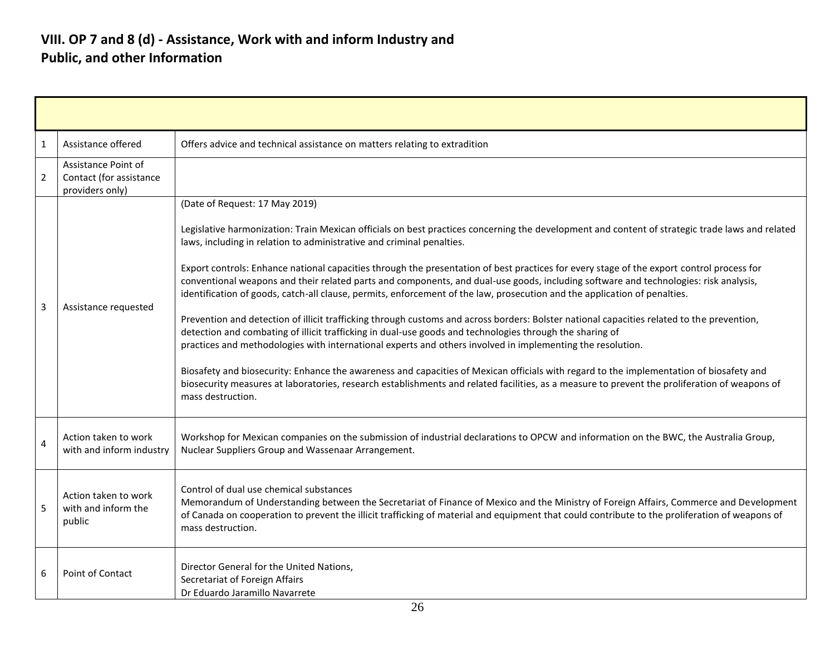### **VIII. OP 7 and 8 (d) - Assistance, Work with and inform Industry and Public, and other Information**

| 1              | Assistance offered                                                | Offers advice and technical assistance on matters relating to extradition                                                                                                                                                                                                                                                                                                                                                                                                                                                                                                                                                                                                                                                                                                                                                                                                                                                                                                                                                                                                                                                                                                                                                                                                                                                                                             |
|----------------|-------------------------------------------------------------------|-----------------------------------------------------------------------------------------------------------------------------------------------------------------------------------------------------------------------------------------------------------------------------------------------------------------------------------------------------------------------------------------------------------------------------------------------------------------------------------------------------------------------------------------------------------------------------------------------------------------------------------------------------------------------------------------------------------------------------------------------------------------------------------------------------------------------------------------------------------------------------------------------------------------------------------------------------------------------------------------------------------------------------------------------------------------------------------------------------------------------------------------------------------------------------------------------------------------------------------------------------------------------------------------------------------------------------------------------------------------------|
| $\overline{2}$ | Assistance Point of<br>Contact (for assistance<br>providers only) |                                                                                                                                                                                                                                                                                                                                                                                                                                                                                                                                                                                                                                                                                                                                                                                                                                                                                                                                                                                                                                                                                                                                                                                                                                                                                                                                                                       |
| 3              | Assistance requested                                              | (Date of Request: 17 May 2019)<br>Legislative harmonization: Train Mexican officials on best practices concerning the development and content of strategic trade laws and related<br>laws, including in relation to administrative and criminal penalties.<br>Export controls: Enhance national capacities through the presentation of best practices for every stage of the export control process for<br>conventional weapons and their related parts and components, and dual-use goods, including software and technologies: risk analysis,<br>identification of goods, catch-all clause, permits, enforcement of the law, prosecution and the application of penalties.<br>Prevention and detection of illicit trafficking through customs and across borders: Bolster national capacities related to the prevention,<br>detection and combating of illicit trafficking in dual-use goods and technologies through the sharing of<br>practices and methodologies with international experts and others involved in implementing the resolution.<br>Biosafety and biosecurity: Enhance the awareness and capacities of Mexican officials with regard to the implementation of biosafety and<br>biosecurity measures at laboratories, research establishments and related facilities, as a measure to prevent the proliferation of weapons of<br>mass destruction. |
| 4              | Action taken to work<br>with and inform industry                  | Workshop for Mexican companies on the submission of industrial declarations to OPCW and information on the BWC, the Australia Group,<br>Nuclear Suppliers Group and Wassenaar Arrangement.                                                                                                                                                                                                                                                                                                                                                                                                                                                                                                                                                                                                                                                                                                                                                                                                                                                                                                                                                                                                                                                                                                                                                                            |
| 5              | Action taken to work<br>with and inform the<br>public             | Control of dual use chemical substances<br>Memorandum of Understanding between the Secretariat of Finance of Mexico and the Ministry of Foreign Affairs, Commerce and Development<br>of Canada on cooperation to prevent the illicit trafficking of material and equipment that could contribute to the proliferation of weapons of<br>mass destruction.                                                                                                                                                                                                                                                                                                                                                                                                                                                                                                                                                                                                                                                                                                                                                                                                                                                                                                                                                                                                              |
| 6              | Point of Contact                                                  | Director General for the United Nations,<br>Secretariat of Foreign Affairs<br>Dr Eduardo Jaramillo Navarrete                                                                                                                                                                                                                                                                                                                                                                                                                                                                                                                                                                                                                                                                                                                                                                                                                                                                                                                                                                                                                                                                                                                                                                                                                                                          |